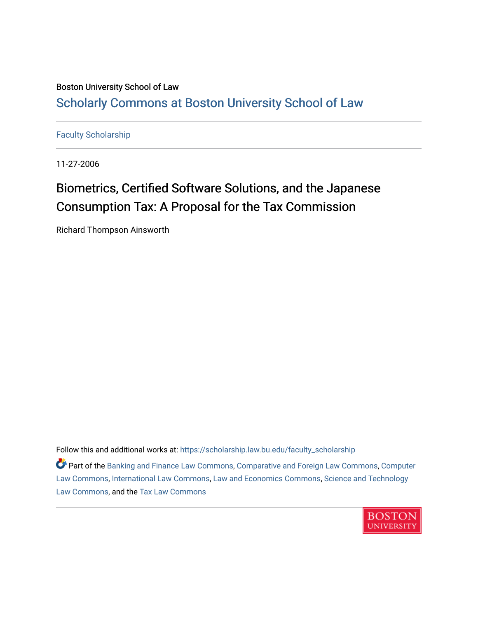## Boston University School of Law [Scholarly Commons at Boston University School of Law](https://scholarship.law.bu.edu/)

[Faculty Scholarship](https://scholarship.law.bu.edu/faculty_scholarship)

11-27-2006

# Biometrics, Certified Software Solutions, and the Japanese Consumption Tax: A Proposal for the Tax Commission

Richard Thompson Ainsworth

Follow this and additional works at: [https://scholarship.law.bu.edu/faculty\\_scholarship](https://scholarship.law.bu.edu/faculty_scholarship?utm_source=scholarship.law.bu.edu%2Ffaculty_scholarship%2F1495&utm_medium=PDF&utm_campaign=PDFCoverPages)

Part of the [Banking and Finance Law Commons,](http://network.bepress.com/hgg/discipline/833?utm_source=scholarship.law.bu.edu%2Ffaculty_scholarship%2F1495&utm_medium=PDF&utm_campaign=PDFCoverPages) [Comparative and Foreign Law Commons](http://network.bepress.com/hgg/discipline/836?utm_source=scholarship.law.bu.edu%2Ffaculty_scholarship%2F1495&utm_medium=PDF&utm_campaign=PDFCoverPages), [Computer](http://network.bepress.com/hgg/discipline/837?utm_source=scholarship.law.bu.edu%2Ffaculty_scholarship%2F1495&utm_medium=PDF&utm_campaign=PDFCoverPages)  [Law Commons,](http://network.bepress.com/hgg/discipline/837?utm_source=scholarship.law.bu.edu%2Ffaculty_scholarship%2F1495&utm_medium=PDF&utm_campaign=PDFCoverPages) [International Law Commons,](http://network.bepress.com/hgg/discipline/609?utm_source=scholarship.law.bu.edu%2Ffaculty_scholarship%2F1495&utm_medium=PDF&utm_campaign=PDFCoverPages) [Law and Economics Commons,](http://network.bepress.com/hgg/discipline/612?utm_source=scholarship.law.bu.edu%2Ffaculty_scholarship%2F1495&utm_medium=PDF&utm_campaign=PDFCoverPages) [Science and Technology](http://network.bepress.com/hgg/discipline/875?utm_source=scholarship.law.bu.edu%2Ffaculty_scholarship%2F1495&utm_medium=PDF&utm_campaign=PDFCoverPages) [Law Commons,](http://network.bepress.com/hgg/discipline/875?utm_source=scholarship.law.bu.edu%2Ffaculty_scholarship%2F1495&utm_medium=PDF&utm_campaign=PDFCoverPages) and the [Tax Law Commons](http://network.bepress.com/hgg/discipline/898?utm_source=scholarship.law.bu.edu%2Ffaculty_scholarship%2F1495&utm_medium=PDF&utm_campaign=PDFCoverPages)

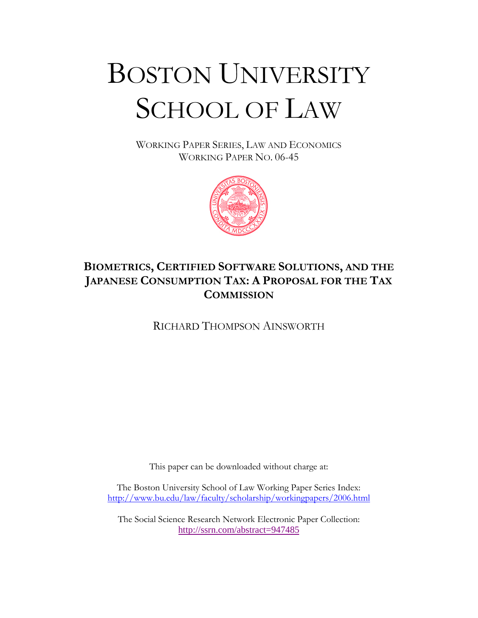# BOSTON UNIVERSITY SCHOOL OF LAW

WORKING PAPER SERIES, LAW AND ECONOMICS WORKING PAPER NO. 06-45



## **BIOMETRICS, CERTIFIED SOFTWARE SOLUTIONS, AND THE JAPANESE CONSUMPTION TAX: A PROPOSAL FOR THE TAX COMMISSION**

RICHARD THOMPSON AINSWORTH

This paper can be downloaded without charge at:

The Boston University School of Law Working Paper Series Index: http://www.bu.edu/law/faculty/scholarship/workingpapers/2006.html

The Social Science Research Network Electronic Paper Collection: http://ssrn.com/abstract=947485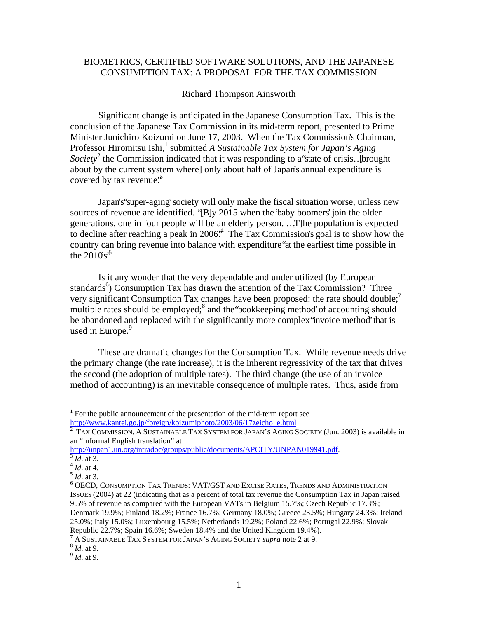#### BIOMETRICS, CERTIFIED SOFTWARE SOLUTIONS, AND THE JAPANESE CONSUMPTION TAX: A PROPOSAL FOR THE TAX COMMISSION

#### Richard Thompson Ainsworth

Significant change is anticipated in the Japanese Consumption Tax. This is the conclusion of the Japanese Tax Commission in its mid-term report, presented to Prime Minister Junichiro Koizumi on June 17, 2003. When the Tax Commission's Chairman, Professor Hiromitsu Ishi,<sup>1</sup> submitted *A Sustainable Tax System for Japan's Aging Society*<sup>2</sup> the Commission indicated that it was responding to a "state of crisis. [brought] about by the current system where] only about half of Japan's annual expenditure is covered by tax revenue.<sup>3</sup>

Japan's "super-aging" society will only make the fiscal situation worse, unless new sources of revenue are identified. "[B]y 2015 when the 'baby boomers' join the older generations, one in four people will be an elderly person. … [T]he population is expected to decline after reaching a peak in 2006.<sup>4</sup> The Tax Commission's goal is to show how the country can bring revenue into balance with expenditure "at the earliest time possible in the  $2010s$ <sup>5</sup>

Is it any wonder that the very dependable and under utilized (by European standards<sup>6</sup>) Consumption Tax has drawn the attention of the Tax Commission? Three very significant Consumption Tax changes have been proposed: the rate should double;<sup>7</sup> multiple rates should be employed;<sup>8</sup> and the 'bookkeeping method' of accounting should be abandoned and replaced with the significantly more complex "invoice method" that is used in Europe.<sup>9</sup>

These are dramatic changes for the Consumption Tax. While revenue needs drive the primary change (the rate increase), it is the inherent regressivity of the tax that drives the second (the adoption of multiple rates). The third change (the use of an invoice method of accounting) is an inevitable consequence of multiple rates. Thus, aside from

1

 $1$  For the public announcement of the presentation of the mid-term report see

http://www.kantei.go.jp/foreign/koizumiphoto/2003/06/17zeicho\_e.html<br><sup>2</sup> TAX COMMISSION, A SUSTAINABLE TAX SYSTEM FOR JAPAN'S AGING SOCIETY (Jun. 2003) is available in an "informal English translation" at

http://unpan1.un.org/intradoc/groups/public/documents/APCITY/UNPAN019941.pdf.<br>
<sup>3</sup> *Id.* at 3.<br>
<sup>4</sup> *Id.* at 4.<br>
<sup>5</sup> *Id* at 3.

OECD, CONSUMPTION TAX TRENDS: VAT/GST AND EXCISE RATES, TRENDS AND ADMINISTRATION ISSUES (2004) at 22 (indicating that as a percent of total tax revenue the Consumption Tax in Japan raised 9.5% of revenue as compared with the European VATs in Belgium 15.7%; Czech Republic 17.3%; Denmark 19.9%; Finland 18.2%; France 16.7%; Germany 18.0%; Greece 23.5%; Hungary 24.3%; Ireland 25.0%; Italy 15.0%; Luxembourg 15.5%; Netherlands 19.2%; Poland 22.6%; Portugal 22.9%; Slovak Republic 22.7%; Spain 16.6%; Sweden 18.4% and the United Kingdom 19.4%).

<sup>&</sup>lt;sup>7</sup> A SUSTAINABLE TAX SYSTEM FOR JAPAN'S AGING SOCIETY *supra* note 2 at 9.<br><sup>8</sup> *Id.* at 9. *P*1*d.* at 9.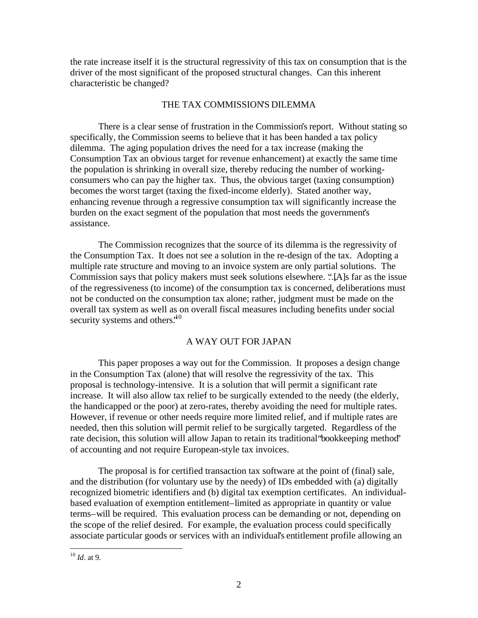the rate increase itself it is the structural regressivity of this tax on consumption that is the driver of the most significant of the proposed structural changes. Can this inherent characteristic be changed?

#### THE TAX COMMISSION'S DILEMMA

There is a clear sense of frustration in the Commission's report. Without stating so specifically, the Commission seems to believe that it has been handed a tax policy dilemma. The aging population drives the need for a tax increase (making the Consumption Tax an obvious target for revenue enhancement) at exactly the same time the population is shrinking in overall size, thereby reducing the number of workingconsumers who can pay the higher tax. Thus, the obvious target (taxing consumption) becomes the worst target (taxing the fixed-income elderly). Stated another way, enhancing revenue through a regressive consumption tax will significantly increase the burden on the exact segment of the population that most needs the government's assistance.

The Commission recognizes that the source of its dilemma is the regressivity of the Consumption Tax. It does not see a solution in the re-design of the tax. Adopting a multiple rate structure and moving to an invoice system are only partial solutions. The Commission says that policy makers must seek solutions elsewhere. "… [A]s far as the issue of the regressiveness (to income) of the consumption tax is concerned, deliberations must not be conducted on the consumption tax alone; rather, judgment must be made on the overall tax system as well as on overall fiscal measures including benefits under social security systems and others.<sup>10</sup>

#### A WAY OUT FOR JAPAN

 This paper proposes a way out for the Commission. It proposes a design change in the Consumption Tax (alone) that will resolve the regressivity of the tax. This proposal is technology-intensive. It is a solution that will permit a significant rate increase. It will also allow tax relief to be surgically extended to the needy (the elderly, the handicapped or the poor) at zero-rates, thereby avoiding the need for multiple rates. However, if revenue or other needs require more limited relief, and if multiple rates are needed, then this solution will permit relief to be surgically targeted. Regardless of the rate decision, this solution will allow Japan to retain its traditional "bookkeeping method" of accounting and not require European-style tax invoices.

The proposal is for certified transaction tax software at the point of (final) sale, and the distribution (for voluntary use by the needy) of IDs embedded with (a) digitally recognized biometric identifiers and (b) digital tax exemption certificates. An individualbased evaluation of exemption entitlement – limited as appropriate in quantity or value terms – will be required. This evaluation process can be demanding or not, depending on the scope of the relief desired. For example, the evaluation process could specifically associate particular goods or services with an individual's entitlement profile allowing an

<sup>10</sup> *Id*. at 9.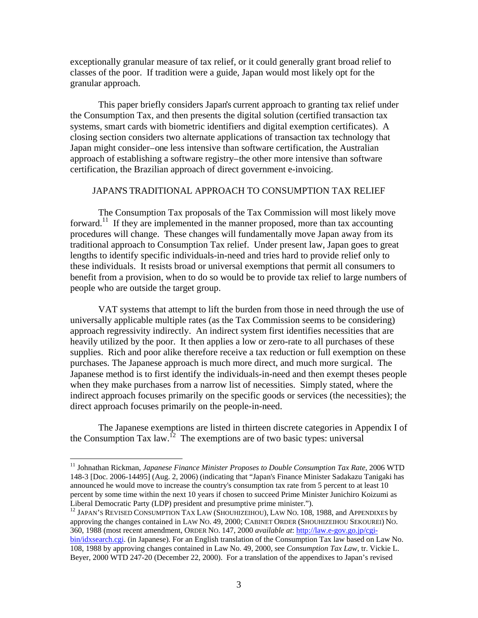exceptionally granular measure of tax relief, or it could generally grant broad relief to classes of the poor. If tradition were a guide, Japan would most likely opt for the granular approach.

This paper briefly considers Japan's current approach to granting tax relief under the Consumption Tax, and then presents the digital solution (certified transaction tax systems, smart cards with biometric identifiers and digital exemption certificates). A closing section considers two alternate applications of transaction tax technology that Japan might consider–one less intensive than software certification, the Australian approach of establishing a software registry – the other more intensive than software certification, the Brazilian approach of direct government e-invoicing.

#### JAPAN'S TRADITIONAL APPROACH TO CONSUMPTION TAX RELIEF

 The Consumption Tax proposals of the Tax Commission will most likely move forward.<sup>11</sup> If they are implemented in the manner proposed, more than tax accounting procedures will change. These changes will fundamentally move Japan away from its traditional approach to Consumption Tax relief. Under present law, Japan goes to great lengths to identify specific individuals-in-need and tries hard to provide relief only to these individuals. It resists broad or universal exemptions that permit all consumers to benefit from a provision, when to do so would be to provide tax relief to large numbers of people who are outside the target group.

VAT systems that attempt to lift the burden from those in need through the use of universally applicable multiple rates (as the Tax Commission seems to be considering) approach regressivity indirectly. An indirect system first identifies necessities that are heavily utilized by the poor. It then applies a low or zero-rate to all purchases of these supplies. Rich and poor alike therefore receive a tax reduction or full exemption on these purchases. The Japanese approach is much more direct, and much more surgical. The Japanese method is to first identify the individuals-in-need and then exempt theses people when they make purchases from a narrow list of necessities. Simply stated, where the indirect approach focuses primarily on the specific goods or services (the necessities); the direct approach focuses primarily on the people-in-need.

The Japanese exemptions are listed in thirteen discrete categories in Appendix I of the Consumption Tax law.<sup>12</sup> The exemptions are of two basic types: universal

 $\overline{a}$ 

<sup>12</sup> JAPAN'S REVISED CONSUMPTION TAX LAW (SHOUHIZEIHOU), LAW NO. 108, 1988, and APPENDIXES by approving the changes contained in LAW NO. 49, 2000; CABINET ORDER (SHOUHIZEIHOU SEKOUREI) NO. 360, 1988 (most recent amendment, ORDER NO. 147, 2000 *available at*: http://law.e-gov.go.jp/cgibin/idxsearch.cgi. (in Japanese). For an English translation of the Consumption Tax law based on Law No. 108, 1988 by approving changes contained in Law No. 49, 2000, see *Consumption Tax Law*, tr. Vickie L. Beyer, 2000 WTD 247-20 (December 22, 2000). For a translation of the appendixes to Japan's revised

<sup>11</sup> Johnathan Rickman, *Japanese Finance Minister Proposes to Double Consumption Tax Rate,* 2006 WTD 148-3 [Doc. 2006-14495] (Aug. 2, 2006) (indicating that "Japan's Finance Minister Sadakazu Tanigaki has announced he would move to increase the country's consumption tax rate from 5 percent to at least 10 percent by some time within the next 10 years if chosen to succeed Prime Minister Junichiro Koizumi as Liberal Democratic Party (LDP) president and presumptive prime minister.").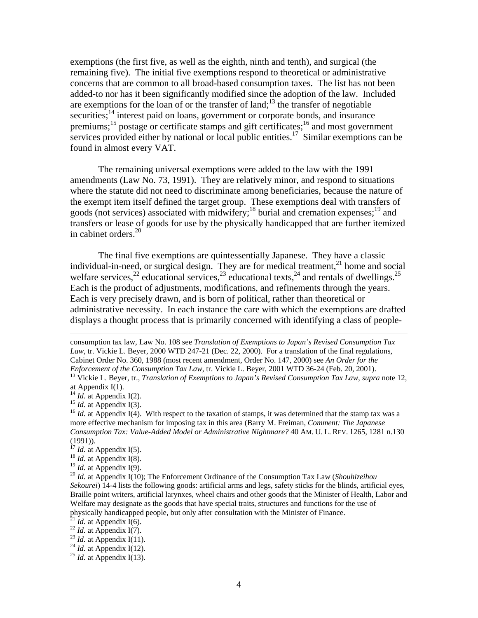exemptions (the first five, as well as the eighth, ninth and tenth), and surgical (the remaining five). The initial five exemptions respond to theoretical or administrative concerns that are common to all broad-based consumption taxes. The list has not been added-to nor has it been significantly modified since the adoption of the law. Included are exemptions for the loan of or the transfer of land;<sup>13</sup> the transfer of negotiable securities;<sup>14</sup> interest paid on loans, government or corporate bonds, and insurance premiums;<sup>15</sup> postage or certificate stamps and gift certificates;<sup>16</sup> and most government services provided either by national or local public entities.<sup>17</sup> Similar exemptions can be found in almost every VAT.

The remaining universal exemptions were added to the law with the 1991 amendments (Law No. 73, 1991). They are relatively minor, and respond to situations where the statute did not need to discriminate among beneficiaries, because the nature of the exempt item itself defined the target group. These exemptions deal with transfers of goods (not services) associated with midwifery;<sup>18</sup> burial and cremation expenses;<sup>19</sup> and transfers or lease of goods for use by the physically handicapped that are further itemized in cabinet orders.<sup>20</sup>

The final five exemptions are quintessentially Japanese. They have a classic individual-in-need, or surgical design. They are for medical treatment, $^{21}$  home and social welfare services,<sup>22</sup> educational services,<sup>23</sup> educational texts,<sup>24</sup> and rentals of dwellings.<sup>25</sup> Each is the product of adjustments, modifications, and refinements through the years. Each is very precisely drawn, and is born of political, rather than theoretical or administrative necessity. In each instance the care with which the exemptions are drafted displays a thought process that is primarily concerned with identifying a class of people-

<sup>18</sup> *Id.* at Appendix I(8).<br><sup>19</sup> *Id.* at Appendix I(9).

consumption tax law, Law No. 108 see *Translation of Exemptions to Japan's Revised Consumption Tax Law*, tr. Vickie L. Beyer, 2000 WTD 247-21 (Dec. 22, 2000). For a translation of the final regulations, Cabinet Order No. 360, 1988 (most recent amendment, Order No. 147, 2000) see *An Order for the Enforcement of the Consumption Tax Law*, tr. Vickie L. Beyer, 2001 WTD 36-24 (Feb. 20, 2001). 13 Vickie L. Beyer, tr., *Translation of Exemptions to Japan's Revised Consumption Tax Law*, *supra* note 12,

at Appendix I(1).<br><sup>14</sup> *Id.* at Appendix I(2).

<sup>15</sup> *Id.* at Appendix I(3).<br><sup>15</sup> *Id.* at Appendix I(3).<br><sup>16</sup> *Id.* at Appendix I(4). With respect to the taxation of stamps, it was determined that the stamp tax was a more effective mechanism for imposing tax in this area (Barry M. Freiman, *Comment: The Japanese Consumption Tax: Value-Added Model or Administrative Nightmare?* 40 AM. U. L. REV. 1265, 1281 n.130 (1991)).<br> $^{17}$  *Id.* at Appendix I(5).

<sup>&</sup>lt;sup>20</sup> *Id.* at Appendix I(10); The Enforcement Ordinance of the Consumption Tax Law (*Shouhizeihou Sekourei*) 14-4 lists the following goods: artificial arms and legs, safety sticks for the blinds, artificial eyes, Braille point writers, artificial larynxes, wheel chairs and other goods that the Minister of Health, Labor and Welfare may designate as the goods that have special traits, structures and functions for the use of physically handicapped people, but only after consultation with the Minister of Finance.<br><sup>21</sup> *Id.* at Appendix I(6).

<sup>22</sup> *Id.* at Appendix I(7). <sup>23</sup> *Id.* at Appendix I(11). <sup>24</sup> *Id.* at Appendix I(12). <sup>25</sup> *Id.* at Appendix I(13).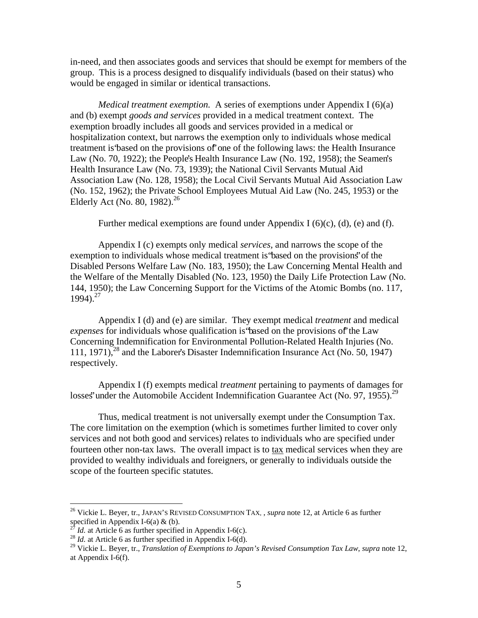in-need, and then associates goods and services that should be exempt for members of the group. This is a process designed to disqualify individuals (based on their status) who would be engaged in similar or identical transactions.

*Medical treatment exemption.* A series of exemptions under Appendix I (6)(a) and (b) exempt *goods and services* provided in a medical treatment context. The exemption broadly includes all goods and services provided in a medical or hospitalization context, but narrows the exemption only to individuals whose medical treatment is "based on the provisions of" one of the following laws: the Health Insurance Law (No. 70, 1922); the People's Health Insurance Law (No. 192, 1958); the Seamen's Health Insurance Law (No. 73, 1939); the National Civil Servants Mutual Aid Association Law (No. 128, 1958); the Local Civil Servants Mutual Aid Association Law (No. 152, 1962); the Private School Employees Mutual Aid Law (No. 245, 1953) or the Elderly Act (No. 80, 1982). $^{26}$ 

Further medical exemptions are found under Appendix I  $(6)(c)$ ,  $(d)$ ,  $(e)$  and  $(f)$ .

Appendix I (c) exempts only medical *services,* and narrows the scope of the exemption to individuals whose medical treatment is "based on the provisions" of the Disabled Persons Welfare Law (No. 183, 1950); the Law Concerning Mental Health and the Welfare of the Mentally Disabled (No. 123, 1950) the Daily Life Protection Law (No. 144, 1950); the Law Concerning Support for the Victims of the Atomic Bombs (no. 117,  $1994$ )<sup>27</sup>

Appendix I (d) and (e) are similar. They exempt medical *treatment* and medical *expenses* for individuals whose qualification is "based on the provisions of" the Law Concerning Indemnification for Environmental Pollution-Related Health Injuries (No. 111, 1971), $^{28}$  and the Laborer's Disaster Indemnification Insurance Act (No. 50, 1947) respectively.

Appendix I (f) exempts medical *treatment* pertaining to payments of damages for losses' under the Automobile Accident Indemnification Guarantee Act (No. 97, 1955).<sup>29</sup>

Thus, medical treatment is not universally exempt under the Consumption Tax. The core limitation on the exemption (which is sometimes further limited to cover only services and not both good and services) relates to individuals who are specified under fourteen other non-tax laws. The overall impact is to  $\frac{\text{tax}}{\text{area}}$  medical services when they are provided to wealthy individuals and foreigners, or generally to individuals outside the scope of the fourteen specific statutes.

<sup>&</sup>lt;sup>26</sup> Vickie L. Beyer, tr., JAPAN'S REVISED CONSUMPTION TAX, , *supra* note 12, at Article 6 as further specified in Appendix I-6(a) & (b).

<sup>&</sup>lt;sup>27</sup> *Id.* at Article 6 as further specified in Appendix I-6(c). <sup>28</sup> *Id.* at Article 6 as further specified in Appendix I-6(d).

<sup>29</sup> Vickie L. Beyer, tr., *Translation of Exemptions to Japan's Revised Consumption Tax Law*, *supra* note 12, at Appendix I-6(f).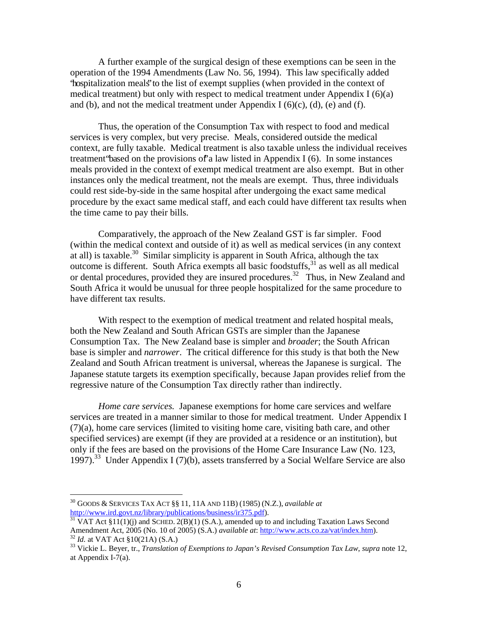A further example of the surgical design of these exemptions can be seen in the operation of the 1994 Amendments (Law No. 56, 1994). This law specifically added "hospitalization meals" to the list of exempt supplies (when provided in the context of medical treatment) but only with respect to medical treatment under Appendix I  $(6)(a)$ and (b), and not the medical treatment under Appendix I  $(6)(c)$ , (d), (e) and (f).

Thus, the operation of the Consumption Tax with respect to food and medical services is very complex, but very precise. Meals, considered outside the medical context, are fully taxable. Medical treatment is also taxable unless the individual receives treatment "based on the provisions of" a law listed in Appendix I  $(6)$ . In some instances meals provided in the context of exempt medical treatment are also exempt. But in other instances only the medical treatment, not the meals are exempt. Thus, three individuals could rest side-by-side in the same hospital after undergoing the exact same medical procedure by the exact same medical staff, and each could have different tax results when the time came to pay their bills.

Comparatively, the approach of the New Zealand GST is far simpler. Food (within the medical context and outside of it) as well as medical services (in any context at all) is taxable.<sup>30</sup> Similar simplicity is apparent in South Africa, although the tax outcome is different. South Africa exempts all basic foodstuffs, $31$  as well as all medical or dental procedures, provided they are insured procedures.<sup>32</sup> Thus, in New Zealand and South Africa it would be unusual for three people hospitalized for the same procedure to have different tax results.

With respect to the exemption of medical treatment and related hospital meals, both the New Zealand and South African GSTs are simpler than the Japanese Consumption Tax. The New Zealand base is simpler and *broader*; the South African base is simpler and *narrower*. The critical difference for this study is that both the New Zealand and South African treatment is universal, whereas the Japanese is surgical. The Japanese statute targets its exemption specifically, because Japan provides relief from the regressive nature of the Consumption Tax directly rather than indirectly.

*Home care services.* Japanese exemptions for home care services and welfare services are treated in a manner similar to those for medical treatment. Under Appendix I (7)(a), home care services (limited to visiting home care, visiting bath care, and other specified services) are exempt (if they are provided at a residence or an institution), but only if the fees are based on the provisions of the Home Care Insurance Law (No. 123, 1997).<sup>33</sup> Under Appendix I (7)(b), assets transferred by a Social Welfare Service are also

<sup>30</sup> GOODS & SERVICES TAX ACT §§ 11, 11A AND 11B) (1985) (N.Z.), *available at* http://www.ird.govt.nz/library/publications/business/ir375.pdf).<br><sup>31</sup> VAT Act §11(1)(j) and SCHED. 2(B)(1) (S.A.), amended up to and including Taxation Laws Second

Amendment Act, 2005 (No. 10 of 2005) (S.A.) available at: http://www.acts.co.za/vat/index.htm).<br><sup>32</sup> Id. at VAT Act §10(21A) (S.A.)<br><sup>33</sup> Vickie L. Beyer, tr., *Translation of Exemptions to Japan's Revised Consumption Tax L* 

at Appendix I-7(a).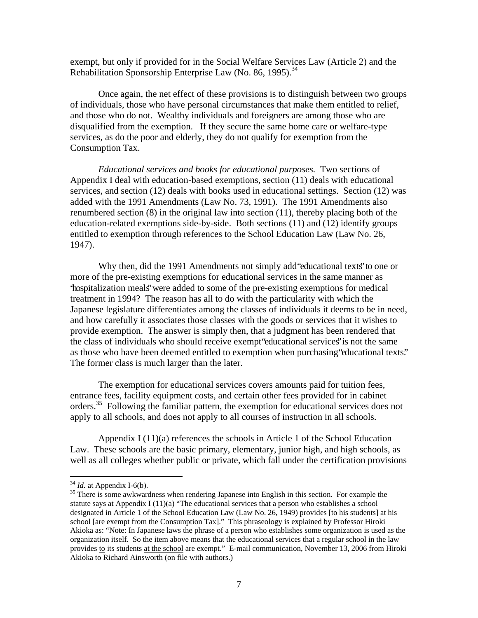exempt, but only if provided for in the Social Welfare Services Law (Article 2) and the Rehabilitation Sponsorship Enterprise Law (No. 86, 1995).<sup>34</sup>

Once again, the net effect of these provisions is to distinguish between two groups of individuals, those who have personal circumstances that make them entitled to relief, and those who do not. Wealthy individuals and foreigners are among those who are disqualified from the exemption. If they secure the same home care or welfare-type services, as do the poor and elderly, they do not qualify for exemption from the Consumption Tax.

*Educational services and books for educational purposes.* Two sections of Appendix I deal with education-based exemptions, section (11) deals with educational services, and section (12) deals with books used in educational settings. Section (12) was added with the 1991 Amendments (Law No. 73, 1991). The 1991 Amendments also renumbered section (8) in the original law into section (11), thereby placing both of the education-related exemptions side-by-side. Both sections (11) and (12) identify groups entitled to exemption through references to the School Education Law (Law No. 26, 1947).

Why then, did the 1991 Amendments not simply add "educational texts" to one or more of the pre-existing exemptions for educational services in the same manner as "hospitalization meals" were added to some of the pre-existing exemptions for medical treatment in 1994? The reason has all to do with the particularity with which the Japanese legislature differentiates among the classes of individuals it deems to be in need, and how carefully it associates those classes with the goods or services that it wishes to provide exemption. The answer is simply then, that a judgment has been rendered that the class of individuals who should receive exempt "educational services" is not the same as those who have been deemed entitled to exemption when purchasing "educational texts." The former class is much larger than the later.

The exemption for educational services covers amounts paid for tuition fees, entrance fees, facility equipment costs, and certain other fees provided for in cabinet orders.35 Following the familiar pattern, the exemption for educational services does not apply to all schools, and does not apply to all courses of instruction in all schools.

Appendix I (11)(a) references the schools in Article 1 of the School Education Law. These schools are the basic primary, elementary, junior high, and high schools, as well as all colleges whether public or private, which fall under the certification provisions

1

 $34$  *Id.* at Appendix I-6(b).<br><sup>35</sup> There is some awkwardness when rendering Japanese into English in this section. For example the statute says at Appendix I (11)(a) "The educational services that a person who establishes a school designated in Article 1 of the School Education Law (Law No. 26, 1949) provides [to his students] at his school [are exempt from the Consumption Tax]." This phraseology is explained by Professor Hiroki Akioka as: "Note: In Japanese laws the phrase of a person who establishes some organization is used as the organization itself. So the item above means that the educational services that a regular school in the law provides to its students at the school are exempt." E-mail communication, November 13, 2006 from Hiroki Akioka to Richard Ainsworth (on file with authors.)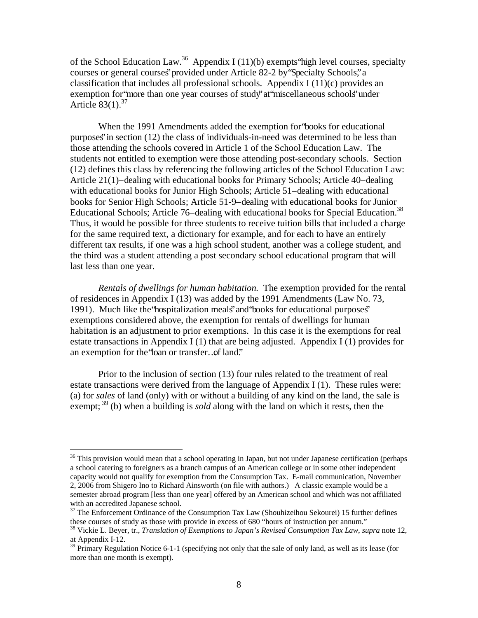of the School Education Law.<sup>36</sup> Appendix I (11)(b) exempts 'high level courses, specialty courses or general courses" provided under Article 82-2 by "Specialty Schools," a classification that includes all professional schools. Appendix  $I(11)(c)$  provides an exemption for "more than one year courses of study" at "miscellaneous schools" under Article  $83(1)$ ,  $37$ 

When the 1991 Amendments added the exemption for "books for educational purposes" in section (12) the class of individuals-in-need was determined to be less than those attending the schools covered in Article 1 of the School Education Law. The students not entitled to exemption were those attending post-secondary schools. Section (12) defines this class by referencing the following articles of the School Education Law: Article 21(1) – dealing with educational books for Primary Schools; Article 40 – dealing with educational books for Junior High Schools; Article 51–dealing with educational books for Senior High Schools; Article 51-9 – dealing with educational books for Junior Educational Schools; Article 76–dealing with educational books for Special Education.<sup>38</sup> Thus, it would be possible for three students to receive tuition bills that included a charge for the same required text, a dictionary for example, and for each to have an entirely different tax results, if one was a high school student, another was a college student, and the third was a student attending a post secondary school educational program that will last less than one year.

*Rentals of dwellings for human habitation.* The exemption provided for the rental of residences in Appendix I (13) was added by the 1991 Amendments (Law No. 73, 1991). Much like the "hospitalization meals" and "books for educational purposes" exemptions considered above, the exemption for rentals of dwellings for human habitation is an adjustment to prior exemptions. In this case it is the exemptions for real estate transactions in Appendix I (1) that are being adjusted. Appendix I (1) provides for an exemption for the "loan or transfer … of land."

Prior to the inclusion of section (13) four rules related to the treatment of real estate transactions were derived from the language of Appendix I (1). These rules were: (a) for *sales* of land (only) with or without a building of any kind on the land, the sale is exempt; <sup>39</sup> (b) when a building is *sold* along with the land on which it rests, then the

<sup>&</sup>lt;sup>36</sup> This provision would mean that a school operating in Japan, but not under Japanese certification (perhaps a school catering to foreigners as a branch campus of an American college or in some other independent capacity would not qualify for exemption from the Consumption Tax. E-mail communication, November 2, 2006 from Shigero Ino to Richard Ainsworth (on file with authors.) A classic example would be a semester abroad program [less than one year] offered by an American school and which was not affiliated with an accredited Japanese school.

<sup>&</sup>lt;sup>37</sup> The Enforcement Ordinance of the Consumption Tax Law (Shouhizeihou Sekourei) 15 further defines these courses of study as those with provide in excess of 680 "hours of instruction per annum."

<sup>38</sup> Vickie L. Beyer, tr., *Translation of Exemptions to Japan's Revised Consumption Tax Law*, *supra* note 12, at Appendix I-12.

<sup>&</sup>lt;sup>39</sup> Primary Regulation Notice 6-1-1 (specifying not only that the sale of only land, as well as its lease (for more than one month is exempt).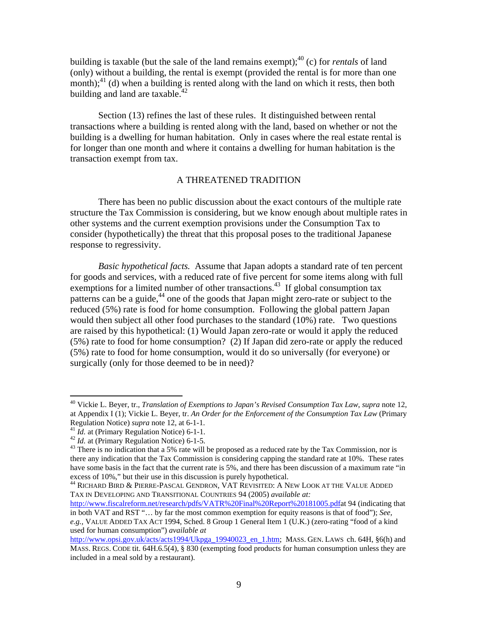building is taxable (but the sale of the land remains exempt);<sup>40</sup> (c) for *rentals* of land (only) without a building, the rental is exempt (provided the rental is for more than one month); $^{41}$  (d) when a building is rented along with the land on which it rests, then both building and land are taxable. $42$ 

Section (13) refines the last of these rules. It distinguished between rental transactions where a building is rented along with the land, based on whether or not the building is a dwelling for human habitation. Only in cases where the real estate rental is for longer than one month and where it contains a dwelling for human habitation is the transaction exempt from tax.

#### A THREATENED TRADITION

 There has been no public discussion about the exact contours of the multiple rate structure the Tax Commission is considering, but we know enough about multiple rates in other systems and the current exemption provisions under the Consumption Tax to consider (hypothetically) the threat that this proposal poses to the traditional Japanese response to regressivity.

*Basic hypothetical facts.* Assume that Japan adopts a standard rate of ten percent for goods and services, with a reduced rate of five percent for some items along with full exemptions for a limited number of other transactions.<sup>43</sup> If global consumption tax patterns can be a guide,<sup>44</sup> one of the goods that Japan might zero-rate or subject to the reduced (5%) rate is food for home consumption. Following the global pattern Japan would then subject all other food purchases to the standard (10%) rate. Two questions are raised by this hypothetical: (1) Would Japan zero-rate or would it apply the reduced (5%) rate to food for home consumption? (2) If Japan did zero-rate or apply the reduced (5%) rate to food for home consumption, would it do so universally (for everyone) or surgically (only for those deemed to be in need)?

1

44 RICHARD BIRD & PIERRE-PASCAL GENDRON, VAT REVISITED: A NEW LOOK AT THE VALUE ADDED TAX IN DEVELOPING AND TRANSITIONAL COUNTRIES 94 (2005) *available at:*

<sup>40</sup> Vickie L. Beyer, tr., *Translation of Exemptions to Japan's Revised Consumption Tax Law*, *supra* note 12, at Appendix I (1); Vickie L. Beyer, tr. *An Order for the Enforcement of the Consumption Tax Law* (Primary

Regulation Notice) *supra* note 12, at 6-1-1.<br><sup>41</sup> *Id.* at (Primary Regulation Notice) 6-1-1.<br><sup>42</sup> *Id.* at (Primary Regulation Notice) 6-1-5.<br><sup>43</sup> There is no indication that a 5% rate will be proposed as a reduced rate there any indication that the Tax Commission is considering capping the standard rate at 10%. These rates have some basis in the fact that the current rate is 5%, and there has been discussion of a maximum rate "in excess of 10%," but their use in this discussion is purely hypothetical.

http://www.fiscalreform.net/research/pdfs/VATR%20Final%20Report%20181005.pdfat 94 (indicating that in both VAT and RST "… by far the most common exemption for equity reasons is that of food"); *See, e.g.,* VALUE ADDED TAX ACT 1994, Sched. 8 Group 1 General Item 1 (U.K.) (zero-rating "food of a kind used for human consumption") *available at*

http://www.opsi.gov.uk/acts/acts1994/Ukpga\_19940023\_en\_1.htm; MASS. GEN. LAWS ch. 64H, §6(h) and MASS. REGS. CODE tit. 64H.6.5(4), § 830 (exempting food products for human consumption unless they are included in a meal sold by a restaurant).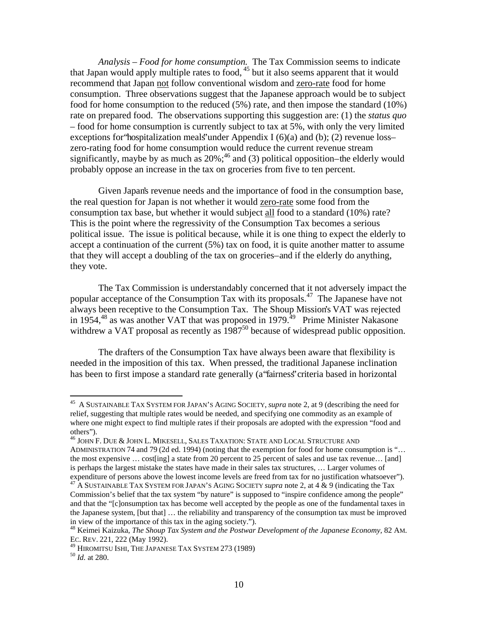*Analysis – Food for home consumption.* The Tax Commission seems to indicate that Japan would apply multiple rates to food,  $45$  but it also seems apparent that it would recommend that Japan not follow conventional wisdom and zero-rate food for home consumption. Three observations suggest that the Japanese approach would be to subject food for home consumption to the reduced (5%) rate, and then impose the standard (10%) rate on prepared food. The observations supporting this suggestion are: (1) the *status quo –* food for home consumption is currently subject to tax at 5%, with only the very limited exceptions for "hospitalization meals" under Appendix I  $(6)(a)$  and  $(b)$ ;  $(2)$  revenue losszero-rating food for home consumption would reduce the current revenue stream significantly, maybe by as much as  $20\%$ ;<sup>46</sup> and (3) political opposition–the elderly would probably oppose an increase in the tax on groceries from five to ten percent.

Given Japan's revenue needs and the importance of food in the consumption base, the real question for Japan is not whether it would zero-rate some food from the consumption tax base, but whether it would subject all food to a standard (10%) rate? This is the point where the regressivity of the Consumption Tax becomes a serious political issue. The issue is political because, while it is one thing to expect the elderly to accept a continuation of the current (5%) tax on food, it is quite another matter to assume that they will accept a doubling of the tax on groceries – and if the elderly do anything, they vote.

 The Tax Commission is understandably concerned that it not adversely impact the popular acceptance of the Consumption Tax with its proposals.<sup>47</sup> The Japanese have not always been receptive to the Consumption Tax. The Shoup Mission's VAT was rejected in 1954, $^{48}$  as was another VAT that was proposed in 1979. $^{49}$  Prime Minister Nakasone withdrew a VAT proposal as recently as  $1987^{50}$  because of widespread public opposition.

The drafters of the Consumption Tax have always been aware that flexibility is needed in the imposition of this tax. When pressed, the traditional Japanese inclination has been to first impose a standard rate generally (a "fairness" criteria based in horizontal

<sup>45</sup> A SUSTAINABLE TAX SYSTEM FOR JAPAN'S AGING SOCIETY, *supra* note 2, at 9 (describing the need for relief, suggesting that multiple rates would be needed, and specifying one commodity as an example of where one might expect to find multiple rates if their proposals are adopted with the expression "food and others").

<sup>46</sup> JOHN F. DUE & JOHN L. MIKESELL, SALES TAXATION: STATE AND LOCAL STRUCTURE AND

ADMINISTRATION 74 and 79 (2d ed. 1994) (noting that the exemption for food for home consumption is "… the most expensive … cost[ing] a state from 20 percent to 25 percent of sales and use tax revenue… [and] is perhaps the largest mistake the states have made in their sales tax structures, ... Larger volumes of expenditure of persons above the lowest income levels are freed from tax for no justification whatsoever").

<sup>&</sup>lt;sup>47</sup> A SUSTAINABLE TAX SYSTEM FOR JAPAN'S AGING SOCIETY *supra* note 2, at 4 & 9 (indicating the Tax Commission's belief that the tax system "by nature" is supposed to "inspire confidence among the people" and that the "[c]onsumption tax has become well accepted by the people as one of the fundamental taxes in the Japanese system, [but that] … the reliability and transparency of the consumption tax must be improved in view of the importance of this tax in the aging society.").

<sup>48</sup> Keimei Kaizuka, *The Shoup Tax System and the Postwar Development of the Japanese Economy,* 82 AM. EC. REV. 221, 222 (May 1992).

 $^{49}$  HIROMITSU ISHI, THE JAPANESE TAX SYSTEM 273 (1989)  $^{50}$  *Id.* at 280.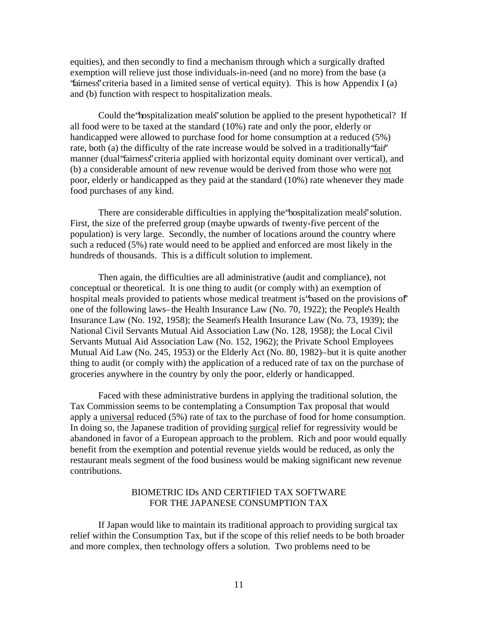equities), and then secondly to find a mechanism through which a surgically drafted exemption will relieve just those individuals-in-need (and no more) from the base (a "fairness" criteria based in a limited sense of vertical equity). This is how Appendix I (a) and (b) function with respect to hospitalization meals.

Could the "hospitalization meals" solution be applied to the present hypothetical? If all food were to be taxed at the standard (10%) rate and only the poor, elderly or handicapped were allowed to purchase food for home consumption at a reduced (5%) rate, both (a) the difficulty of the rate increase would be solved in a traditionally 'fair' manner (dual 'fairness' criteria applied with horizontal equity dominant over vertical), and (b) a considerable amount of new revenue would be derived from those who were not poor, elderly or handicapped as they paid at the standard (10%) rate whenever they made food purchases of any kind.

There are considerable difficulties in applying the "hospitalization meals" solution. First, the size of the preferred group (maybe upwards of twenty-five percent of the population) is very large. Secondly, the number of locations around the country where such a reduced (5%) rate would need to be applied and enforced are most likely in the hundreds of thousands. This is a difficult solution to implement.

Then again, the difficulties are all administrative (audit and compliance), not conceptual or theoretical. It is one thing to audit (or comply with) an exemption of hospital meals provided to patients whose medical treatment is "based on the provisions of" one of the following laws – the Health Insurance Law (No. 70, 1922); the People's Health Insurance Law (No. 192, 1958); the Seamen's Health Insurance Law (No. 73, 1939); the National Civil Servants Mutual Aid Association Law (No. 128, 1958); the Local Civil Servants Mutual Aid Association Law (No. 152, 1962); the Private School Employees Mutual Aid Law (No. 245, 1953) or the Elderly Act (No. 80, 1982)–but it is quite another thing to audit (or comply with) the application of a reduced rate of tax on the purchase of groceries anywhere in the country by only the poor, elderly or handicapped.

Faced with these administrative burdens in applying the traditional solution, the Tax Commission seems to be contemplating a Consumption Tax proposal that would apply a universal reduced (5%) rate of tax to the purchase of food for home consumption. In doing so, the Japanese tradition of providing surgical relief for regressivity would be abandoned in favor of a European approach to the problem. Rich and poor would equally benefit from the exemption and potential revenue yields would be reduced, as only the restaurant meals segment of the food business would be making significant new revenue contributions.

#### BIOMETRIC IDs AND CERTIFIED TAX SOFTWARE FOR THE JAPANESE CONSUMPTION TAX

 If Japan would like to maintain its traditional approach to providing surgical tax relief within the Consumption Tax, but if the scope of this relief needs to be both broader and more complex, then technology offers a solution. Two problems need to be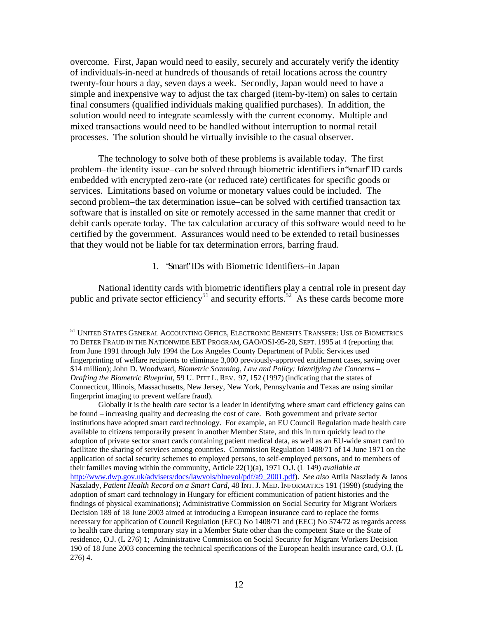overcome. First, Japan would need to easily, securely and accurately verify the identity of individuals-in-need at hundreds of thousands of retail locations across the country twenty-four hours a day, seven days a week. Secondly, Japan would need to have a simple and inexpensive way to adjust the tax charged (item-by-item) on sales to certain final consumers (qualified individuals making qualified purchases). In addition, the solution would need to integrate seamlessly with the current economy. Multiple and mixed transactions would need to be handled without interruption to normal retail processes. The solution should be virtually invisible to the casual observer.

 The technology to solve both of these problems is available today. The first problem – the identity issue – can be solved through biometric identifiers in "smart" ID cards embedded with encrypted zero-rate (or reduced rate) certificates for specific goods or services. Limitations based on volume or monetary values could be included. The second problem–the tax determination issue–can be solved with certified transaction tax software that is installed on site or remotely accessed in the same manner that credit or debit cards operate today. The tax calculation accuracy of this software would need to be certified by the government. Assurances would need to be extended to retail businesses that they would not be liable for tax determination errors, barring fraud.

#### 1. 'Smart' IDs with Biometric Identifiers-in Japan

National identity cards with biometric identifiers play a central role in present day public and private sector efficiency<sup>51</sup> and security efforts.<sup>52</sup> As these cards become more

<sup>51</sup> UNITED STATES GENERAL ACCOUNTING OFFICE, ELECTRONIC BENEFITS TRANSFER: USE OF BIOMETRICS TO DETER FRAUD IN THE NATIONWIDE EBT PROGRAM, GAO/OSI-95-20, SEPT. 1995 at 4 (reporting that from June 1991 through July 1994 the Los Angeles County Department of Public Services used fingerprinting of welfare recipients to eliminate 3,000 previously-approved entitlement cases, saving over \$14 million); John D. Woodward, *Biometric Scanning, Law and Policy: Identifying the Concerns – Drafting the Biometric Blueprint*, 59 U. PITT L. REV. 97, 152 (1997) (indicating that the states of Connecticut, Illinois, Massachusetts, New Jersey, New York, Pennsylvania and Texas are using similar fingerprint imaging to prevent welfare fraud).

Globally it is the health care sector is a leader in identifying where smart card efficiency gains can be found – increasing quality and decreasing the cost of care. Both government and private sector institutions have adopted smart card technology. For example, an EU Council Regulation made health care available to citizens temporarily present in another Member State, and this in turn quickly lead to the adoption of private sector smart cards containing patient medical data, as well as an EU-wide smart card to facilitate the sharing of services among countries. Commission Regulation 1408/71 of 14 June 1971 on the application of social security schemes to employed persons, to self-employed persons, and to members of their families moving within the community, Article 22(1)(a), 1971 O.J. (L 149) *available at*  http://www.dwp.gov.uk/advisers/docs/lawvols/bluevol/pdf/a9\_2001.pdf). *See also* Attila Naszlady & Janos Naszlady, *Patient Health Record on a Smart Card,* 48 INT. J. MED. INFORMATICS 191 (1998) (studying the adoption of smart card technology in Hungary for efficient communication of patient histories and the findings of physical examinations); Administrative Commission on Social Security for Migrant Workers Decision 189 of 18 June 2003 aimed at introducing a European insurance card to replace the forms necessary for application of Council Regulation (EEC) No 1408/71 and (EEC) No 574/72 as regards access to health care during a temporary stay in a Member State other than the competent State or the State of residence, O.J. (L 276) 1; Administrative Commission on Social Security for Migrant Workers Decision 190 of 18 June 2003 concerning the technical specifications of the European health insurance card, O.J. (L 276) 4.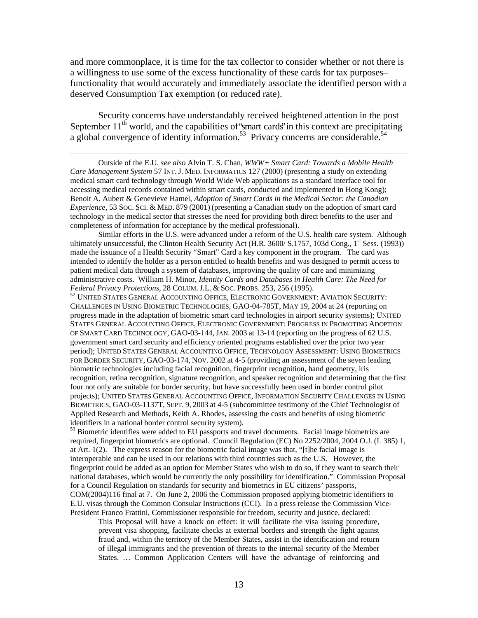and more commonplace, it is time for the tax collector to consider whether or not there is a willingness to use some of the excess functionality of these cards for tax purposes – functionality that would accurately and immediately associate the identified person with a deserved Consumption Tax exemption (or reduced rate).

Security concerns have understandably received heightened attention in the post September  $11<sup>th</sup>$  world, and the capabilities of "smart cards" in this context are precipitating a global convergence of identity information.<sup>53</sup> Privacy concerns are considerable.<sup>54</sup>

 Outside of the E.U. *see also* Alvin T. S. Chan, *WWW+ Smart Card: Towards a Mobile Health Care Management System* 57 INT. J. MED. INFORMATICS 127 (2000) (presenting a study on extending medical smart card technology through World Wide Web applications as a standard interface tool for accessing medical records contained within smart cards, conducted and implemented in Hong Kong); Benoit A. Aubert & Genevieve Hamel, *Adoption of Smart Cards in the Medical Sector: the Canadian Experience,* 53 SOC. SCI. & MED. 879 (2001) (presenting a Canadian study on the adoption of smart card technology in the medical sector that stresses the need for providing both direct benefits to the user and completeness of information for acceptance by the medical professional).

Similar efforts in the U.S. were advanced under a reform of the U.S. health care system. Although ultimately unsuccessful, the Clinton Health Security Act (H.R.  $3600/S.1757$ , 103d Cong., 1<sup>st</sup> Sess. (1993)) made the issuance of a Health Security "Smart" Card a key component in the program. The card was intended to identify the holder as a person entitled to health benefits and was designed to permit access to patient medical data through a system of databases, improving the quality of care and minimizing administrative costs. William H. Minor, *Identity Cards and Databases in Health Care: The Need for Federal Privacy Protections,* 28 COLUM. J.L. & SOC. PROBS. 253, 256 (1995).<br><sup>52</sup> UNITED STATES GENERAL ACCOUNTING OFFICE, ELECTRONIC GOVERNMENT: AVIATION SECURITY:

CHALLENGES IN USING BIOMETRIC TECHNOLOGIES, GAO-04-785T, MAY 19, 2004 at 24 (reporting on progress made in the adaptation of biometric smart card technologies in airport security systems); UNITED STATES GENERAL ACCOUNTING OFFICE, ELECTRONIC GOVERNMENT: PROGRESS IN PROMOTING ADOPTION OF SMART CARD TECHNOLOGY, GAO-03-144, JAN. 2003 at 13-14 (reporting on the progress of 62 U.S. government smart card security and efficiency oriented programs established over the prior two year period); UNITED STATES GENERAL ACCOUNTING OFFICE, TECHNOLOGY ASSESSMENT: USING BIOMETRICS FOR BORDER SECURITY, GAO-03-174, NOV. 2002 at 4-5 (providing an assessment of the seven leading biometric technologies including facial recognition, fingerprint recognition, hand geometry, iris recognition, retina recognition, signature recognition, and speaker recognition and determining that the first four not only are suitable for border security, but have successfully been used in border control pilot projects); UNITED STATES GENERAL ACCOUNTING OFFICE, INFORMATION SECURITY CHALLENGES IN USING BIOMETRICS, GAO-03-1137T, SEPT. 9, 2003 at 4-5 (subcommittee testimony of the Chief Technologist of Applied Research and Methods, Keith A. Rhodes, assessing the costs and benefits of using biometric identifiers in a national border control security system).

<sup>53</sup> Biometric identifies were added to EU passports and travel documents. Facial image biometrics are required, fingerprint biometrics are optional. Council Regulation (EC) No 2252/2004, 2004 O.J. (L 385) 1, at Art. 1(2). The express reason for the biometric facial image was that, "[t]he facial image is interoperable and can be used in our relations with third countries such as the U.S. However, the fingerprint could be added as an option for Member States who wish to do so, if they want to search their national databases, which would be currently the only possibility for identification." Commission Proposal for a Council Regulation on standards for security and biometrics in EU citizens' passports, COM(2004)116 final at 7. On June 2, 2006 the Commission proposed applying biometric identifiers to E.U. visas through the Common Consular Instructions (CCI). In a press release the Commission Vice-President Franco Frattini, Commissioner responsible for freedom, security and justice, declared:

This Proposal will have a knock on effect: it will facilitate the visa issuing procedure, prevent visa shopping, facilitate checks at external borders and strength the fight against fraud and, within the territory of the Member States, assist in the identification and return of illegal immigrants and the prevention of threats to the internal security of the Member States. … Common Application Centers will have the advantage of reinforcing and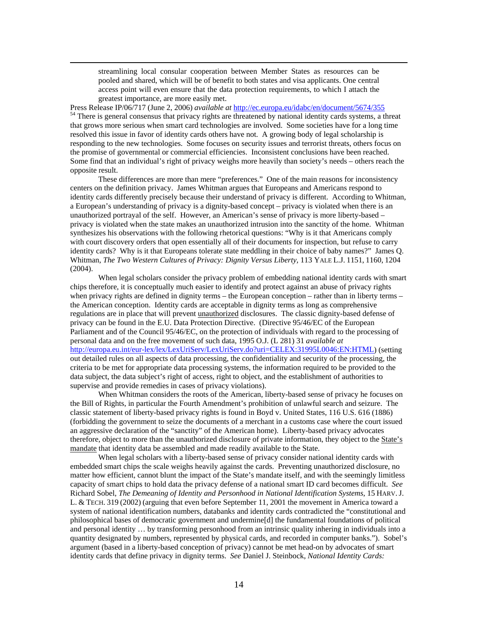streamlining local consular cooperation between Member States as resources can be pooled and shared, which will be of benefit to both states and visa applicants. One central access point will even ensure that the data protection requirements, to which I attach the greatest importance, are more easily met.

Press Release IP/06/717 (June 2, 2006) *available at* http://ec.europa.eu/idabc/en/document/5674/355 54 There is general consensus that privacy rights are threatened by national identity cards systems, a threat

that grows more serious when smart card technologies are involved. Some societies have for a long time resolved this issue in favor of identity cards others have not. A growing body of legal scholarship is responding to the new technologies. Some focuses on security issues and terrorist threats, others focus on the promise of governmental or commercial efficiencies. Inconsistent conclusions have been reached. Some find that an individual's right of privacy weighs more heavily than society's needs – others reach the opposite result.

These differences are more than mere "preferences." One of the main reasons for inconsistency centers on the definition privacy. James Whitman argues that Europeans and Americans respond to identity cards differently precisely because their understand of privacy is different. According to Whitman, a European's understanding of privacy is a dignity-based concept – privacy is violated when there is an unauthorized portrayal of the self. However, an American's sense of privacy is more liberty-based – privacy is violated when the state makes an unauthorized intrusion into the sanctity of the home. Whitman synthesizes his observations with the following rhetorical questions: "Why is it that Americans comply with court discovery orders that open essentially all of their documents for inspection, but refuse to carry identity cards? Why is it that Europeans tolerate state meddling in their choice of baby names?" James Q. Whitman, *The Two Western Cultures of Privacy: Dignity Versus Liberty,* 113 YALE L.J. 1151, 1160, 1204 (2004).

When legal scholars consider the privacy problem of embedding national identity cards with smart chips therefore, it is conceptually much easier to identify and protect against an abuse of privacy rights when privacy rights are defined in dignity terms – the European conception – rather than in liberty terms – the American conception. Identity cards are acceptable in dignity terms as long as comprehensive regulations are in place that will prevent unauthorized disclosures. The classic dignity-based defense of privacy can be found in the E.U. Data Protection Directive. (Directive 95/46/EC of the European Parliament and of the Council 95/46/EC, on the protection of individuals with regard to the processing of personal data and on the free movement of such data, 1995 O.J. (L 281) 31 *available at* http://europa.eu.int/eur-lex/lex/LexUriServ/LexUriServ.do?uri=CELEX:31995L0046:EN:HTML) (setting out detailed rules on all aspects of data processing, the confidentiality and security of the processing, the criteria to be met for appropriate data processing systems, the information required to be provided to the data subject, the data subject's right of access, right to object, and the establishment of authorities to supervise and provide remedies in cases of privacy violations).

When Whitman considers the roots of the American, liberty-based sense of privacy he focuses on the Bill of Rights, in particular the Fourth Amendment's prohibition of unlawful search and seizure. The classic statement of liberty-based privacy rights is found in Boyd v. United States, 116 U.S. 616 (1886) (forbidding the government to seize the documents of a merchant in a customs case where the court issued an aggressive declaration of the "sanctity" of the American home). Liberty-based privacy advocates therefore, object to more than the unauthorized disclosure of private information, they object to the State's mandate that identity data be assembled and made readily available to the State.

When legal scholars with a liberty-based sense of privacy consider national identity cards with embedded smart chips the scale weighs heavily against the cards. Preventing unauthorized disclosure, no matter how efficient, cannot blunt the impact of the State's mandate itself, and with the seemingly limitless capacity of smart chips to hold data the privacy defense of a national smart ID card becomes difficult. *See* Richard Sobel, *The Demeaning of Identity and Personhood in National Identification Systems*, 15 HARV.J. L. & TECH. 319 (2002) (arguing that even before September 11, 2001 the movement in America toward a system of national identification numbers, databanks and identity cards contradicted the "constitutional and philosophical bases of democratic government and undermine[d] the fundamental foundations of political and personal identity … by transforming personhood from an intrinsic quality inhering in individuals into a quantity designated by numbers, represented by physical cards, and recorded in computer banks."). Sobel's argument (based in a liberty-based conception of privacy) cannot be met head-on by advocates of smart identity cards that define privacy in dignity terms. *See* Daniel J. Steinbock, *National Identity Cards:*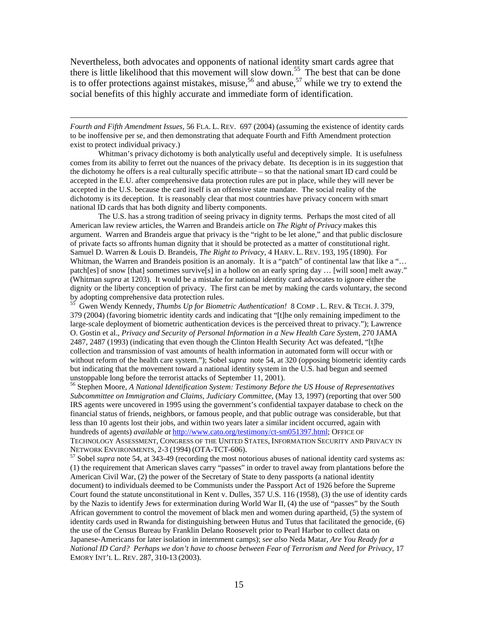Nevertheless, both advocates and opponents of national identity smart cards agree that there is little likelihood that this movement will slow down.<sup>55</sup> The best that can be done is to offer protections against mistakes, misuse,  $56$  and abuse,  $57$  while we try to extend the social benefits of this highly accurate and immediate form of identification.

*Fourth and Fifth Amendment Issues,* 56 FLA. L. REV. 697 (2004) (assuming the existence of identity cards to be inoffensive per se, and then demonstrating that adequate Fourth and Fifth Amendment protection exist to protect individual privacy.)

 $\overline{a}$ 

Whitman's privacy dichotomy is both analytically useful and deceptively simple. It is usefulness comes from its ability to ferret out the nuances of the privacy debate. Its deception is in its suggestion that the dichotomy he offers is a real culturally specific attribute – so that the national smart ID card could be accepted in the E.U. after comprehensive data protection rules are put in place, while they will never be accepted in the U.S. because the card itself is an offensive state mandate. The social reality of the dichotomy is its deception. It is reasonably clear that most countries have privacy concern with smart national ID cards that has both dignity and liberty components.

The U.S. has a strong tradition of seeing privacy in dignity terms. Perhaps the most cited of all American law review articles, the Warren and Brandeis article on *The Right of Privacy* makes this argument. Warren and Brandeis argue that privacy is the "right to be let alone," and that public disclosure of private facts so affronts human dignity that it should be protected as a matter of constitutional right. Samuel D. Warren & Louis D. Brandeis, *The Right to Privacy,* 4 HARV. L. REV. 193, 195 (1890). For Whitman, the Warren and Brandeis position is an anomaly. It is a "patch" of continental law that like a "... patch[es] of snow [that] sometimes survive[s] in a hollow on an early spring day … [will soon] melt away." (Whitman *supra* at 1203). It would be a mistake for national identity card advocates to ignore either the dignity or the liberty conception of privacy. The first can be met by making the cards voluntary, the second by adopting comprehensive data protection rules.<br><sup>55</sup> Gwen Wendy Kennedy, *Thumbs Up for Biometric Authentication!* 8 COMP . L. REV. & TECH. J. 379,

379 (2004) (favoring biometric identity cards and indicating that "[t]he only remaining impediment to the large-scale deployment of biometric authentication devices is the perceived threat to privacy."); Lawrence O. Gostin et al., *Privacy and Security of Personal Information in a New Health Care System*, 270 JAMA 2487, 2487 (1993) (indicating that even though the Clinton Health Security Act was defeated, "[t]he collection and transmission of vast amounts of health information in automated form will occur with or without reform of the health care system."); Sobel *supra* note 54, at 320 (opposing biometric identity cards but indicating that the movement toward a national identity system in the U.S. had begun and seemed unstoppable long before the terrorist attacks of September 11, 2001).

56 Stephen Moore, *A National Identification System: Testimony Before the US House of Representatives Subcommittee on Immigration and Claims, Judiciary Committee*, (May 13, 1997) (reporting that over 500 IRS agents were uncovered in 1995 using the government's confidential taxpayer database to check on the financial status of friends, neighbors, or famous people, and that public outrage was considerable, but that less than 10 agents lost their jobs, and within two years later a similar incident occurred, again with hundreds of agents) *available at* http://www.cato.org/testimony/ct-sm051397.html; OFFICE OF TECHNOLOGY ASSESSMENT, CONGRESS OF THE UNITED STATES, INFORMATION SECURITY AND PRIVACY IN NETWORK ENVIRONMENTS, 2-3 (1994) (OTA-TCT-606).<br><sup>57</sup> Sobel *supra* note 54, at 343-49 (recording the most notorious abuses of national identity card systems as:

(1) the requirement that American slaves carry "passes" in order to travel away from plantations before the American Civil War, (2) the power of the Secretary of State to deny passports (a national identity document) to individuals deemed to be Communists under the Passport Act of 1926 before the Supreme Court found the statute unconstitutional in Kent v. Dulles, 357 U.S. 116 (1958), (3) the use of identity cards by the Nazis to identify Jews for extermination during World War II, (4) the use of "passes" by the South African government to control the movement of black men and women during apartheid, (5) the system of identity cards used in Rwanda for distinguishing between Hutus and Tutus that facilitated the genocide, (6) the use of the Census Bureau by Franklin Delano Roosevelt prior to Pearl Harbor to collect data on Japanese-Americans for later isolation in internment camps); *see also* Neda Matar, *Are You Ready for a National ID Card? Perhaps we don't have to choose between Fear of Terrorism and Need for Privacy,* 17 EMORY INT'L L. REV. 287, 310-13 (2003).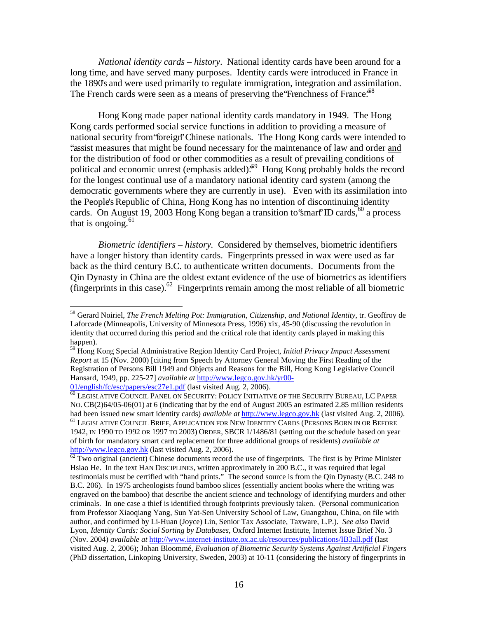*National identity cards – history*. National identity cards have been around for a long time, and have served many purposes. Identity cards were introduced in France in the 1890's and were used primarily to regulate immigration, integration and assimilation. The French cards were seen as a means of preserving the Frenchness of France.<sup>58</sup>

Hong Kong made paper national identity cards mandatory in 1949. The Hong Kong cards performed social service functions in addition to providing a measure of national security from "foreign" Chinese nationals. The Hong Kong cards were intended to "… assist measures that might be found necessary for the maintenance of law and order and for the distribution of food or other commodities as a result of prevailing conditions of political and economic unrest (emphasis added).<sup>59</sup> Hong Kong probably holds the record for the longest continual use of a mandatory national identity card system (among the democratic governments where they are currently in use). Even with its assimilation into the People's Republic of China, Hong Kong has no intention of discontinuing identity cards. On August 19, 2003 Hong Kong began a transition to 'smart' ID cards,  $^{60}$  a process that is ongoing. $61$ 

*Biometric identifiers – history.* Considered by themselves, biometric identifiers have a longer history than identity cards. Fingerprints pressed in wax were used as far back as the third century B.C. to authenticate written documents. Documents from the Qin Dynasty in China are the oldest extant evidence of the use of biometrics as identifiers (fingerprints in this case).<sup>62</sup> Fingerprints remain among the most reliable of all biometric

 $\overline{a}$ 

01/english/fc/esc/papers/esc27e1.pdf (last visited Aug. 2, 2006).<br><sup>60</sup> LEGISLATIVE COUNCIL PANEL ON SECURITY: POLICY INITIATIVE OF THE SECURITY BUREAU, LC PAPER NO. CB(2)64/05-06(01) at 6 (indicating that by the end of August 2005 an estimated 2.85 million residents had been issued new smart identity cards) *available at* http://www.legco.gov.hk (last visited Aug. 2, 2006).<br><sup>61</sup> LEGISLATIVE COUNCIL BRIEF, APPLICATION FOR NEW IDENTITY CARDS (PERSONS BORN IN OR BEFORE 1942, IN 1990 TO 1992 OR 1997 TO 2003) ORDER, SBCR 1/1486/81 (setting out the schedule based on year of birth for mandatory smart card replacement for three additional groups of residents) *available at*

<sup>58</sup> Gerard Noiriel, *The French Melting Pot: Immigration, Citizenship, and National Identity*, tr. Geoffroy de Laforcade (Minneapolis, University of Minnesota Press, 1996) xix, 45-90 (discussing the revolution in identity that occurred during this period and the critical role that identity cards played in making this happen).

<sup>59</sup> Hong Kong Special Administrative Region Identity Card Project, *Initial Privacy Impact Assessment Report* at 15 (Nov. 2000) [citing from Speech by Attorney General Moving the First Reading of the Registration of Persons Bill 1949 and Objects and Reasons for the Bill, Hong Kong Legislative Council Hansard, 1949, pp. 225-27] *available at* http://www.legco.gov.hk/yr00-

 $\frac{http://www.legco.gov.hk}{62}$  Two original (ancient) Chinese documents record the use of fingerprints. The first is by Prime Minister Hsiao He. In the text HAN DISCIPLINES, written approximately in 200 B.C., it was required that legal testimonials must be certified with "hand prints." The second source is from the Qin Dynasty (B.C. 248 to B.C. 206). In 1975 archeologists found bamboo slices (essentially ancient books where the writing was engraved on the bamboo) that describe the ancient science and technology of identifying murders and other criminals. In one case a thief is identified through footprints previously taken. (Personal communication from Professor Xiaoqiang Yang, Sun Yat-Sen University School of Law, Guangzhou, China, on file with author, and confirmed by Li-Huan (Joyce) Lin, Senior Tax Associate, Taxware, L.P.). *See also* David Lyon, *Identity Cards: Social Sorting by Databases*, Oxford Internet Institute, Internet Issue Brief No. 3 (Nov. 2004) *available at* http://www.internet-institute.ox.ac.uk/resources/publications/IB3all.pdf (last visited Aug. 2, 2006); Johan Bloommé, *Evaluation of Biometric Security Systems Against Artificial Fingers*  (PhD dissertation, Linkoping University, Sweden, 2003) at 10-11 (considering the history of fingerprints in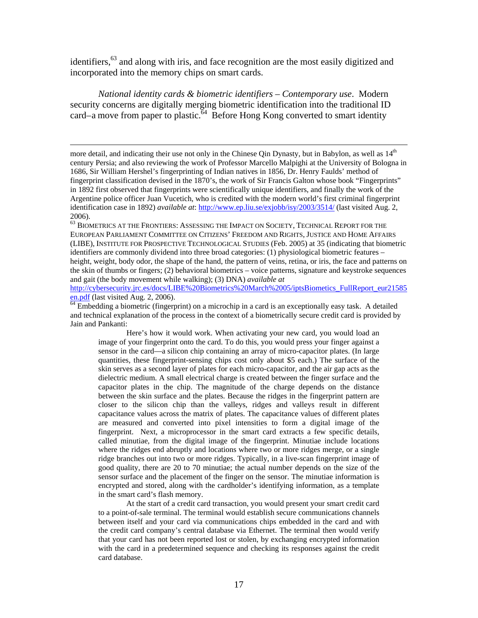identifiers,<sup>63</sup> and along with iris, and face recognition are the most easily digitized and incorporated into the memory chips on smart cards.

*National identity cards & biometric identifiers – Contemporary use*. Modern security concerns are digitally merging biometric identification into the traditional ID card-a move from paper to plastic.<sup>64</sup> Before Hong Kong converted to smart identity

more detail, and indicating their use not only in the Chinese Qin Dynasty, but in Babylon, as well as  $14<sup>th</sup>$ century Persia; and also reviewing the work of Professor Marcello Malpighi at the University of Bologna in 1686, Sir William Hershel's fingerprinting of Indian natives in 1856, Dr. Henry Faulds' method of fingerprint classification devised in the 1870's, the work of Sir Francis Galton whose book "Fingerprints" in 1892 first observed that fingerprints were scientifically unique identifiers, and finally the work of the Argentine police officer Juan Vucetich, who is credited with the modern world's first criminal fingerprint identification case in 1892) *available at*: http://www.ep.liu.se/exjobb/isy/2003/3514/ (last visited Aug. 2, 2006).<br> $^{63}$  Biometrics at the Frontiers: Assessing the Impact on Society, Technical Report for the

EUROPEAN PARLIAMENT COMMITTEE ON CITIZENS' FREEDOM AND RIGHTS, JUSTICE AND HOME AFFAIRS (LIBE), INSTITUTE FOR PROSPECTIVE TECHNOLOGICAL STUDIES (Feb. 2005) at 35 (indicating that biometric identifiers are commonly dividend into three broad categories: (1) physiological biometric features – height, weight, body odor, the shape of the hand, the pattern of veins, retina, or iris, the face and patterns on the skin of thumbs or fingers; (2) behavioral biometrics – voice patterns, signature and keystroke sequences and gait (the body movement while walking); (3) DNA) *available at*

http://cybersecurity.jrc.es/docs/LIBE%20Biometrics%20March%2005/iptsBiometics\_FullReport\_eur21585\_en.pdf (last visited Aug. 2, 2006).

 $\frac{64}{64}$  Embedding a biometric (fingerprint) on a microchip in a card is an exceptionally easy task. A detailed and technical explanation of the process in the context of a biometrically secure credit card is provided by Jain and Pankanti:

Here's how it would work. When activating your new card, you would load an image of your fingerprint onto the card. To do this, you would press your finger against a sensor in the card—a silicon chip containing an array of micro-capacitor plates. (In large quantities, these fingerprint-sensing chips cost only about \$5 each.) The surface of the skin serves as a second layer of plates for each micro-capacitor, and the air gap acts as the dielectric medium. A small electrical charge is created between the finger surface and the capacitor plates in the chip. The magnitude of the charge depends on the distance between the skin surface and the plates. Because the ridges in the fingerprint pattern are closer to the silicon chip than the valleys, ridges and valleys result in different capacitance values across the matrix of plates. The capacitance values of different plates are measured and converted into pixel intensities to form a digital image of the fingerprint. Next, a microprocessor in the smart card extracts a few specific details, called minutiae, from the digital image of the fingerprint. Minutiae include locations where the ridges end abruptly and locations where two or more ridges merge, or a single ridge branches out into two or more ridges. Typically, in a live-scan fingerprint image of good quality, there are 20 to 70 minutiae; the actual number depends on the size of the sensor surface and the placement of the finger on the sensor. The minutiae information is encrypted and stored, along with the cardholder's identifying information, as a template in the smart card's flash memory.

At the start of a credit card transaction, you would present your smart credit card to a point-of-sale terminal. The terminal would establish secure communications channels between itself and your card via communications chips embedded in the card and with the credit card company's central database via Ethernet. The terminal then would verify that your card has not been reported lost or stolen, by exchanging encrypted information with the card in a predetermined sequence and checking its responses against the credit card database.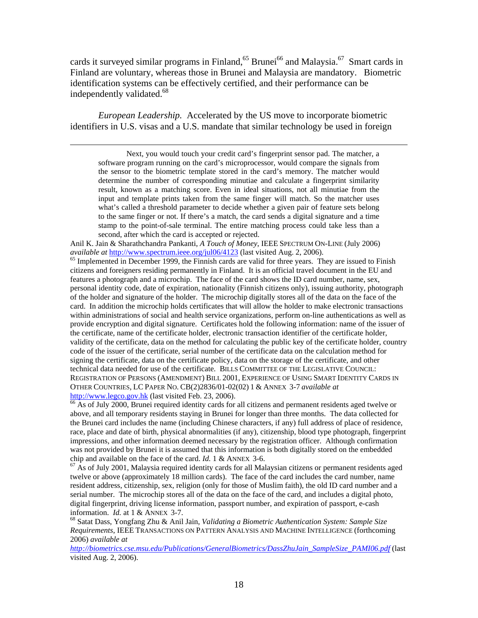cards it surveyed similar programs in Finland,<sup>65</sup> Brunei<sup>66</sup> and Malaysia.<sup>67</sup> Smart cards in Finland are voluntary, whereas those in Brunei and Malaysia are mandatory. Biometric identification systems can be effectively certified, and their performance can be independently validated.<sup>68</sup>

*European Leadership.* Accelerated by the US move to incorporate biometric identifiers in U.S. visas and a U.S. mandate that similar technology be used in foreign

 Next, you would touch your credit card's fingerprint sensor pad. The matcher, a software program running on the card's microprocessor, would compare the signals from the sensor to the biometric template stored in the card's memory. The matcher would determine the number of corresponding minutiae and calculate a fingerprint similarity result, known as a matching score. Even in ideal situations, not all minutiae from the input and template prints taken from the same finger will match. So the matcher uses what's called a threshold parameter to decide whether a given pair of feature sets belong to the same finger or not. If there's a match, the card sends a digital signature and a time stamp to the point-of-sale terminal. The entire matching process could take less than a second, after which the card is accepted or rejected.

Anil K. Jain & Sharathchandra Pankanti, *A Touch of Money*, IEEE SPECTRUM ON-LINE (July 2006)

*available at* http://www.spectrum.ieee.org/jul06/4123 (last visited Aug. 2, 2006). 65 Implemented in December 1999, the Finnish cards are valid for three years. They are issued to Finish citizens and foreigners residing permanently in Finland. It is an official travel document in the EU and features a photograph and a microchip. The face of the card shows the ID card number, name, sex, personal identity code, date of expiration, nationality (Finnish citizens only), issuing authority, photograph of the holder and signature of the holder. The microchip digitally stores all of the data on the face of the card. In addition the microchip holds certificates that will allow the holder to make electronic transactions within administrations of social and health service organizations, perform on-line authentications as well as provide encryption and digital signature. Certificates hold the following information: name of the issuer of the certificate, name of the certificate holder, electronic transaction identifier of the certificate holder, validity of the certificate, data on the method for calculating the public key of the certificate holder, country code of the issuer of the certificate, serial number of the certificate data on the calculation method for signing the certificate, data on the certificate policy, data on the storage of the certificate, and other technical data needed for use of the certificate. BILLS COMMITTEE OF THE LEGISLATIVE COUNCIL: REGISTRATION OF PERSONS (AMENDMENT) BILL 2001, EXPERIENCE OF USING SMART IDENTITY CARDS IN OTHER COUNTRIES, LC PAPER NO. CB(2)2836/01-02(02) 1 & ANNEX 3-7 *available at*

http://www.legco.gov.hk (last visited Feb. 23, 2006).<br><sup>66</sup> As of July 2000, Brunei required identity cards for all citizens and permanent residents aged twelve or above, and all temporary residents staying in Brunei for longer than three months. The data collected for the Brunei card includes the name (including Chinese characters, if any) full address of place of residence, race, place and date of birth, physical abnormalities (if any), citizenship, blood type photograph, fingerprint impressions, and other information deemed necessary by the registration officer. Although confirmation was not provided by Brunei it is assumed that this information is both digitally stored on the embedded chip and available on the face of the card. *Id.* 1 & ANNEX 3-6.<br><sup>67</sup> As of July 2001, Malaysia required identity cards for all Malaysian citizens or permanent residents aged

twelve or above (approximately 18 million cards). The face of the card includes the card number, name resident address, citizenship, sex, religion (only for those of Muslim faith), the old ID card number and a serial number. The microchip stores all of the data on the face of the card, and includes a digital photo, digital fingerprint, driving license information, passport number, and expiration of passport, e-cash information. *Id.* at 1 & ANNEX 3-7.<br><sup>68</sup> Satat Dass, Yongfang Zhu & Anil Jain, *Validating a Biometric Authentication System: Sample Size* 

*Requirements*, IEEE TRANSACTIONS ON PATTERN ANALYSIS AND MACHINE INTELLIGENCE (forthcoming 2006) *available at* 

*http://biometrics.cse.msu.edu/Publications/GeneralBiometrics/DassZhuJain\_SampleSize\_PAMI06.pdf* (last visited Aug. 2, 2006).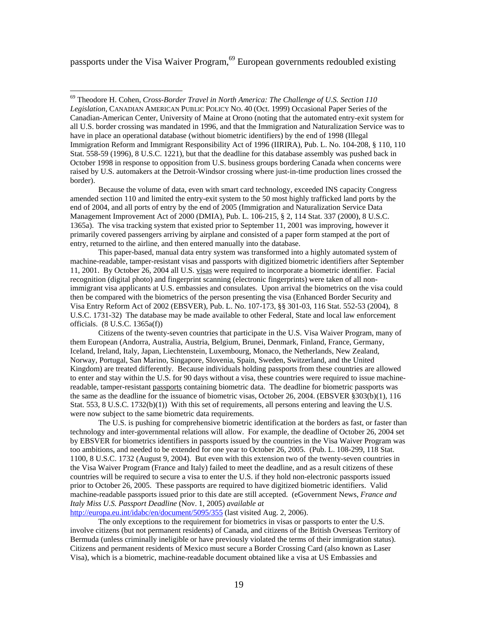passports under the Visa Waiver Program,<sup>69</sup> European governments redoubled existing

 $\overline{a}$ 

Because the volume of data, even with smart card technology, exceeded INS capacity Congress amended section 110 and limited the entry-exit system to the 50 most highly trafficked land ports by the end of 2004, and all ports of entry by the end of 2005 (Immigration and Naturalization Service Data Management Improvement Act of 2000 (DMIA), Pub. L. 106-215, § 2, 114 Stat. 337 (2000), 8 U.S.C. 1365a). The visa tracking system that existed prior to September 11, 2001 was improving, however it primarily covered passengers arriving by airplane and consisted of a paper form stamped at the port of entry, returned to the airline, and then entered manually into the database.

 This paper-based, manual data entry system was transformed into a highly automated system of machine-readable, tamper-resistant visas and passports with digitized biometric identifiers after September 11, 2001. By October 26, 2004 all U.S. visas were required to incorporate a biometric identifier. Facial recognition (digital photo) and fingerprint scanning (electronic fingerprints) were taken of all nonimmigrant visa applicants at U.S. embassies and consulates. Upon arrival the biometrics on the visa could then be compared with the biometrics of the person presenting the visa (Enhanced Border Security and Visa Entry Reform Act of 2002 (EBSVER), Pub. L. No. 107-173, §§ 301-03, 116 Stat. 552-53 (2004), 8 U.S.C. 1731-32) The database may be made available to other Federal, State and local law enforcement officials. (8 U.S.C. 1365a(f))

Citizens of the twenty-seven countries that participate in the U.S. Visa Waiver Program, many of them European (Andorra, Australia, Austria, Belgium, Brunei, Denmark, Finland, France, Germany, Iceland, Ireland, Italy, Japan, Liechtenstein, Luxembourg, Monaco, the Netherlands, New Zealand, Norway, Portugal, San Marino, Singapore, Slovenia, Spain, Sweden, Switzerland, and the United Kingdom) are treated differently. Because individuals holding passports from these countries are allowed to enter and stay within the U.S. for 90 days without a visa, these countries were required to issue machinereadable, tamper-resistant passports containing biometric data. The deadline for biometric passports was the same as the deadline for the issuance of biometric visas, October 26, 2004. (EBSVER §303(b)(1), 116 Stat. 553, 8 U.S.C. 1732(b)(1)) With this set of requirements, all persons entering and leaving the U.S. were now subject to the same biometric data requirements.

The U.S. is pushing for comprehensive biometric identification at the borders as fast, or faster than technology and inter-governmental relations will allow. For example, the deadline of October 26, 2004 set by EBSVER for biometrics identifiers in passports issued by the countries in the Visa Waiver Program was too ambitions, and needed to be extended for one year to October 26, 2005. (Pub. L. 108-299, 118 Stat. 1100, 8 U.S.C. 1732 (August 9, 2004). But even with this extension two of the twenty-seven countries in the Visa Waiver Program (France and Italy) failed to meet the deadline, and as a result citizens of these countries will be required to secure a visa to enter the U.S. if they hold non-electronic passports issued prior to October 26, 2005. These passports are required to have digitized biometric identifiers. Valid machine-readable passports issued prior to this date are still accepted. (eGovernment News, *France and Italy Miss U.S. Passport Deadline* (Nov. 1, 2005) *available at*

#### http://europa.eu.int/idabc/en/document/5095/355 (last visited Aug. 2, 2006).

The only exceptions to the requirement for biometrics in visas or passports to enter the U.S. involve citizens (but not permanent residents) of Canada, and citizens of the British Overseas Territory of Bermuda (unless criminally ineligible or have previously violated the terms of their immigration status). Citizens and permanent residents of Mexico must secure a Border Crossing Card (also known as Laser Visa), which is a biometric, machine-readable document obtained like a visa at US Embassies and

<sup>69</sup> Theodore H. Cohen, *Cross-Border Travel in North America: The Challenge of U.S. Section 110 Legislation,* CANADIAN AMERICAN PUBLIC POLICY NO. 40 (Oct. 1999) Occasional Paper Series of the Canadian-American Center, University of Maine at Orono (noting that the automated entry-exit system for all U.S. border crossing was mandated in 1996, and that the Immigration and Naturalization Service was to have in place an operational database (without biometric identifiers) by the end of 1998 (Illegal Immigration Reform and Immigrant Responsibility Act of 1996 (IIRIRA), Pub. L. No. 104-208, § 110, 110 Stat. 558-59 (1996), 8 U.S.C. 1221), but that the deadline for this database assembly was pushed back in October 1998 in response to opposition from U.S. business groups bordering Canada when concerns were raised by U.S. automakers at the Detroit-Windsor crossing where just-in-time production lines crossed the border).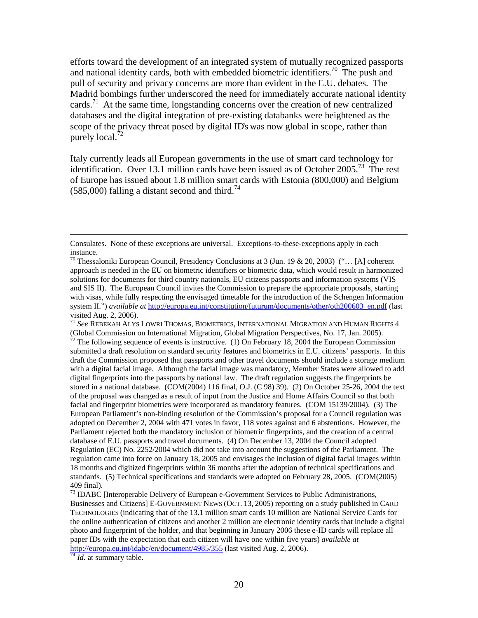efforts toward the development of an integrated system of mutually recognized passports and national identity cards, both with embedded biometric identifiers.<sup>70</sup> The push and pull of security and privacy concerns are more than evident in the E.U. debates. The Madrid bombings further underscored the need for immediately accurate national identity cards.<sup>71</sup> At the same time, longstanding concerns over the creation of new centralized databases and the digital integration of pre-existing databanks were heightened as the scope of the privacy threat posed by digital ID's was now global in scope, rather than purely local. $^{72}$ 

Italy currently leads all European governments in the use of smart card technology for identification. Over 13.1 million cards have been issued as of October 2005.73 The rest of Europe has issued about 1.8 million smart cards with Estonia (800,000) and Belgium  $(585,000)$  falling a distant second and third.<sup>74</sup>

<sup>71</sup> *See* REBEKAH ALYS LOWRI THOMAS, BIOMETRICS, INTERNATIONAL MIGRATION AND HUMAN RIGHTS 4

(Global Commission on International Migration, Global Migration Perspectives, No. 17, Jan. 2005).72 The following sequence of events is instructive. (1) On February 18, 2004 the European Commission submitted a draft resolution on standard security features and biometrics in E.U. citizens' passports. In this draft the Commission proposed that passports and other travel documents should include a storage medium with a digital facial image. Although the facial image was mandatory, Member States were allowed to add digital fingerprints into the passports by national law. The draft regulation suggests the fingerprints be stored in a national database. (COM(2004) 116 final, O.J. (C 98) 39). (2) On October 25-26, 2004 the text of the proposal was changed as a result of input from the Justice and Home Affairs Council so that both facial and fingerprint biometrics were incorporated as mandatory features. (COM 15139/2004). (3) The European Parliament's non-binding resolution of the Commission's proposal for a Council regulation was adopted on December 2, 2004 with 471 votes in favor, 118 votes against and 6 abstentions. However, the Parliament rejected both the mandatory inclusion of biometric fingerprints, and the creation of a central database of E.U. passports and travel documents. (4) On December 13, 2004 the Council adopted Regulation (EC) No. 2252/2004 which did not take into account the suggestions of the Parliament. The regulation came into force on January 18, 2005 and envisages the inclusion of digital facial images within 18 months and digitized fingerprints within 36 months after the adoption of technical specifications and standards. (5) Technical specifications and standards were adopted on February 28, 2005. (COM(2005) 409 final).

 $^{73}$  IDABC [Interoperable Delivery of European e-Government Services to Public Administrations, Businesses and Citizens] E-GOVERNMENT NEWS (OCT. 13, 2005) reporting on a study published in CARD TECHNOLOGIES (indicating that of the 13.1 million smart cards 10 million are National Service Cards for the online authentication of citizens and another 2 million are electronic identity cards that include a digital photo and fingerprint of the holder, and that beginning in January 2006 these e-ID cards will replace all paper IDs with the expectation that each citizen will have one within five years) *available at* http://europa.eu.int/idabc/en/document/4985/355 (last visited Aug. 2, 2006).<br><sup>74</sup> *Id.* at summary table.

Consulates. None of these exceptions are universal. Exceptions-to-these-exceptions apply in each instance.

<sup>&</sup>lt;sup>70</sup> Thessaloniki European Council, Presidency Conclusions at 3 (Jun. 19 & 20, 2003) ("... [A] coherent approach is needed in the EU on biometric identifiers or biometric data, which would result in harmonized solutions for documents for third country nationals, EU citizens passports and information systems (VIS and SIS II). The European Council invites the Commission to prepare the appropriate proposals, starting with visas, while fully respecting the envisaged timetable for the introduction of the Schengen Information system II.") *available at* http://europa.eu.int/constitution/futurum/documents/other/oth200603\_en.pdf (last visited Aug. 2, 2006).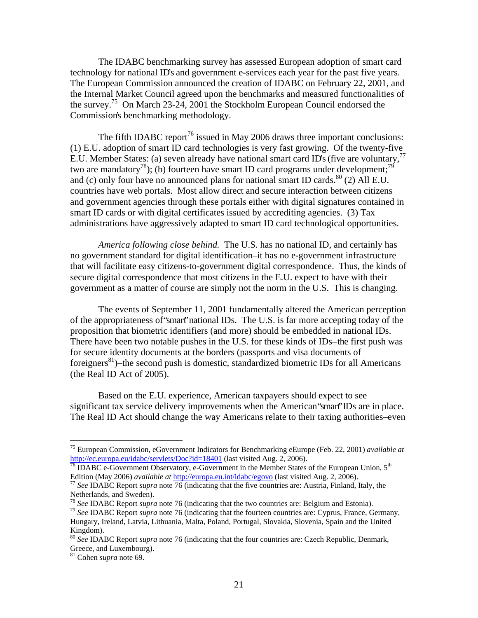The IDABC benchmarking survey has assessed European adoption of smart card technology for national ID's and government e-services each year for the past five years. The European Commission announced the creation of IDABC on February 22, 2001, and the Internal Market Council agreed upon the benchmarks and measured functionalities of the survey.<sup>75</sup> On March 23-24, 2001 the Stockholm European Council endorsed the Commission's benchmarking methodology.

The fifth IDABC report<sup>76</sup> issued in May 2006 draws three important conclusions: (1) E.U. adoption of smart ID card technologies is very fast growing. Of the twenty-five E.U. Member States: (a) seven already have national smart card ID's (five are voluntary.<sup>77</sup> two are mandatory<sup>78</sup>); (b) fourteen have smart ID card programs under development;<sup>79</sup> and (c) only four have no announced plans for national smart ID cards. $80$  (2) All E.U. countries have web portals. Most allow direct and secure interaction between citizens and government agencies through these portals either with digital signatures contained in smart ID cards or with digital certificates issued by accrediting agencies. (3) Tax administrations have aggressively adapted to smart ID card technological opportunities.

*America following close behind.* The U.S. has no national ID, and certainly has no government standard for digital identification–it has no e-government infrastructure that will facilitate easy citizens-to-government digital correspondence. Thus, the kinds of secure digital correspondence that most citizens in the E.U. expect to have with their government as a matter of course are simply not the norm in the U.S. This is changing.

The events of September 11, 2001 fundamentally altered the American perception of the appropriateness of "smart" national IDs. The U.S. is far more accepting today of the proposition that biometric identifiers (and more) should be embedded in national IDs. There have been two notable pushes in the U.S. for these kinds of IDs-the first push was for secure identity documents at the borders (passports and visa documents of foreigners<sup>81</sup>) – the second push is domestic, standardized biometric IDs for all Americans (the Real ID Act of 2005).

Based on the E.U. experience, American taxpayers should expect to see significant tax service delivery improvements when the American "smart" IDs are in place. The Real ID Act should change the way Americans relate to their taxing authorities-even

<sup>75</sup> European Commission, eGovernment Indicators for Benchmarking eEurope (Feb. 22, 2001) *available at*

http://ec.europa.eu/idabc/servlets/Doc?id=18401 (last visited Aug. 2, 2006).<br><sup>76</sup> IDABC e-Government Observatory, e-Government in the Member States of the European Union, 5<sup>th</sup><br>Edition (May 2006) *available at* http://eur

<sup>&</sup>lt;sup>77</sup> See IDABC Report *supra* note 76 (indicating that the five countries are: Austria, Finland, Italy, the Netherlands, and Sweden).<br><sup>78</sup> See IDABC Report *supra* note 76 (indicating that the two countries are: Belgium and Estonia).

<sup>&</sup>lt;sup>79</sup> See IDABC Report supra note 76 (indicating that the fourteen countries are: Cyprus, France, Germany, Hungary, Ireland, Latvia, Lithuania, Malta, Poland, Portugal, Slovakia, Slovenia, Spain and the United Kingdom).

<sup>80</sup> *See* IDABC Report *supra* note 76 (indicating that the four countries are: Czech Republic, Denmark, Greece, and Luxembourg).

<sup>81</sup> Cohen *supra* note 69.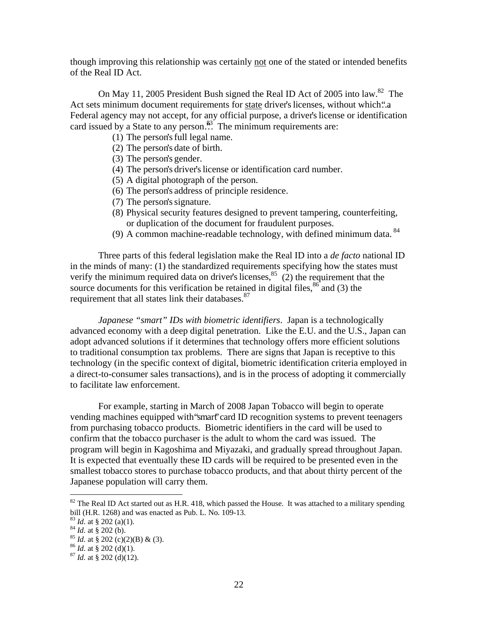though improving this relationship was certainly not one of the stated or intended benefits of the Real ID Act.

On May 11, 2005 President Bush signed the Real ID Act of 2005 into law.<sup>82</sup> The Act sets minimum document requirements for state driver's licenses, without which.  $a$ Federal agency may not accept, for any official purpose, a driver's license or identification card issued by a State to any person... The minimum requirements are:

- (1) The person's full legal name.
- (2) The person's date of birth.
- (3) The person's gender.
- (4) The person's driver's license or identification card number.
- (5) A digital photograph of the person.
- (6) The person's address of principle residence.
- (7) The person's signature.
- (8) Physical security features designed to prevent tampering, counterfeiting, or duplication of the document for fraudulent purposes.
- (9) A common machine-readable technology, with defined minimum data.  $84$

Three parts of this federal legislation make the Real ID into a *de facto* national ID in the minds of many: (1) the standardized requirements specifying how the states must verify the minimum required data on driver's licenses,  $^{85}$  (2) the requirement that the source documents for this verification be retained in digital files,  $86$  and (3) the requirement that all states link their databases.<sup>87</sup>

*Japanese "smart" IDs with biometric identifiers*. Japan is a technologically advanced economy with a deep digital penetration. Like the E.U. and the U.S., Japan can adopt advanced solutions if it determines that technology offers more efficient solutions to traditional consumption tax problems. There are signs that Japan is receptive to this technology (in the specific context of digital, biometric identification criteria employed in a direct-to-consumer sales transactions), and is in the process of adopting it commercially to facilitate law enforcement.

 For example, starting in March of 2008 Japan Tobacco will begin to operate vending machines equipped with "smart" card ID recognition systems to prevent teenagers from purchasing tobacco products. Biometric identifiers in the card will be used to confirm that the tobacco purchaser is the adult to whom the card was issued. The program will begin in Kagoshima and Miyazaki, and gradually spread throughout Japan. It is expected that eventually these ID cards will be required to be presented even in the smallest tobacco stores to purchase tobacco products, and that about thirty percent of the Japanese population will carry them.

 $82$  The Real ID Act started out as H.R. 418, which passed the House. It was attached to a military spending bill (H.R. 1268) and was enacted as Pub. L. No. 109-13.

<sup>83</sup> *Id.* at § 202 (a)(1).<br><sup>84</sup> *Id.* at § 202 (b).<br><sup>85</sup> *Id.* at § 202 (c)(2)(B) & (3).<br><sup>86</sup> *Id.* at § 202 (d)(12).<br><sup>87</sup> *Id.* at § 202 (d)(12).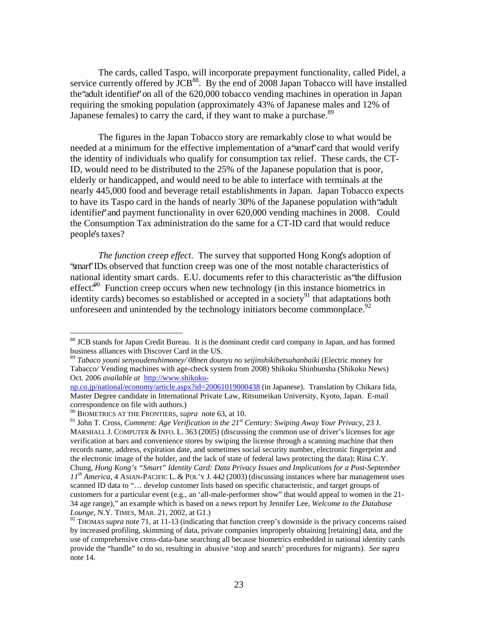The cards, called Taspo, will incorporate prepayment functionality, called Pidel, a service currently offered by  $\text{ICB}^{88}$ . By the end of 2008 Japan Tobacco will have installed the "adult identifier" on all of the 620,000 tobacco vending machines in operation in Japan requiring the smoking population (approximately 43% of Japanese males and 12% of Japanese females) to carry the card, if they want to make a purchase.<sup>89</sup>

 The figures in the Japan Tobacco story are remarkably close to what would be needed at a minimum for the effective implementation of a "smart" card that would verify the identity of individuals who qualify for consumption tax relief. These cards, the CT-ID, would need to be distributed to the 25% of the Japanese population that is poor, elderly or handicapped, and would need to be able to interface with terminals at the nearly 445,000 food and beverage retail establishments in Japan. Japan Tobacco expects to have its Taspo card in the hands of nearly 30% of the Japanese population with "adult identifier" and payment functionality in over 620,000 vending machines in 2008. Could the Consumption Tax administration do the same for a CT-ID card that would reduce people's taxes?

*The function creep effect*. The survey that supported Hong Kong's adoption of "smart" IDs observed that function creep was one of the most notable characteristics of national identity smart cards. E.U. documents refer to this characteristic as "the diffusion effect.<sup>90</sup> Function creep occurs when new technology (in this instance biometrics in identity cards) becomes so established or accepted in a society<sup>91</sup> that adaptations both unforeseen and unintended by the technology initiators become commonplace.  $92$ 

<sup>&</sup>lt;sup>88</sup> JCB stands for Japan Credit Bureau. It is the dominant credit card company in Japan, and has formed business alliances with Discover Card in the US.

<sup>89</sup> *Tabaco youni senyoudenshimoney/ 08nen dounyu no seijinshikibetsuhanbaiki* (Electric money for Tabacco/ Vending machines with age-check system from 2008) Shikoku Shinbunsha (Shikoku News) Oct. 2006 *available at* http://www.shikoku-

np.co.jp/national/economy/article.aspx?id=20061019000438 (in Japanese). Translation by Chikara Iida, Master Degree candidate in International Private Law, Ritsumeikan University, Kyoto, Japan. E-mail correspondence on file with authors.)

<sup>90</sup> BIOMETRICS AT THE FRONTIERS, *supra* note 63, at 10.

<sup>91</sup> John T. Cross, *Comment: Age Verification in the 21st Century: Swiping Away Your Privacy*, 23 J. MARSHALL J. COMPUTER & INFO. L. 363 (2005) (discussing the common use of driver's licenses for age verification at bars and convenience stores by swiping the license through a scanning machine that then records name, address, expiration date, and sometimes social security number, electronic fingerprint and the electronic image of the holder, and the lack of state of federal laws protecting the data); Rina C.Y. Chung, *Hong Kong's "Smart" Identity Card: Data Privacy Issues and Implications for a Post-September 11th America,* 4 ASIAN-PACIFIC L. & POL'Y J. 442 (2003) (discussing instances where bar management uses scanned ID data to "… develop customer lists based on specific characteristic, and target groups of customers for a particular event (e.g., an 'all-male-performer show" that would appeal to women in the 21- 34 age range)," an example which is based on a news report by Jennifer Lee, *Welcome to the Database* 

*Lounge,* N.Y. TIMES, MAR. 21, 2002, at G1.)<br><sup>92</sup> THOMAS *supra* note 71, at 11-13 (indicating that function creep's downside is the privacy concerns raised by increased profiling, skimming of data, private companies improperly obtaining [retaining] data, and the use of comprehensive cross-data-base searching all because biometrics embedded in national identity cards provide the "handle" to do so, resulting in abusive 'stop and search' procedures for migrants). *See supra* note 14.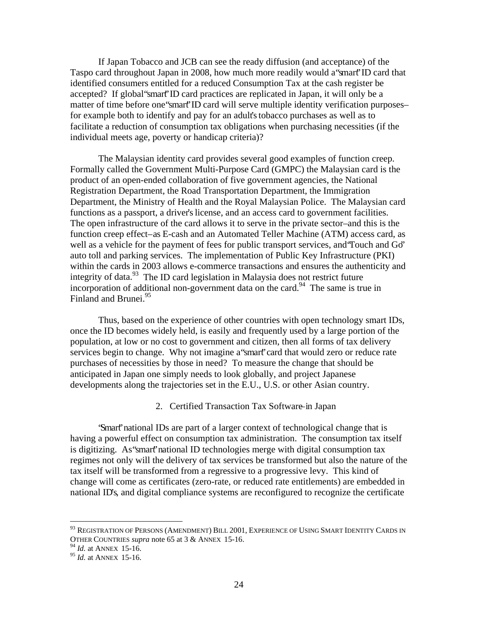If Japan Tobacco and JCB can see the ready diffusion (and acceptance) of the Taspo card throughout Japan in 2008, how much more readily would a "smart" ID card that identified consumers entitled for a reduced Consumption Tax at the cash register be accepted? If global "smart" ID card practices are replicated in Japan, it will only be a matter of time before one "smart" ID card will serve multiple identity verification purposesfor example both to identify and pay for an adult's tobacco purchases as well as to facilitate a reduction of consumption tax obligations when purchasing necessities (if the individual meets age, poverty or handicap criteria)?

The Malaysian identity card provides several good examples of function creep. Formally called the Government Multi-Purpose Card (GMPC) the Malaysian card is the product of an open-ended collaboration of five government agencies, the National Registration Department, the Road Transportation Department, the Immigration Department, the Ministry of Health and the Royal Malaysian Police. The Malaysian card functions as a passport, a driver's license, and an access card to government facilities. The open infrastructure of the card allows it to serve in the private sector-and this is the function creep effect–as E-cash and an Automated Teller Machine (ATM) access card, as well as a vehicle for the payment of fees for public transport services, and Touch and Go" auto toll and parking services. The implementation of Public Key Infrastructure (PKI) within the cards in 2003 allows e-commerce transactions and ensures the authenticity and integrity of data. $93$  The ID card legislation in Malaysia does not restrict future incorporation of additional non-government data on the card.<sup>94</sup> The same is true in Finland and Brunei.<sup>95</sup>

Thus, based on the experience of other countries with open technology smart IDs, once the ID becomes widely held, is easily and frequently used by a large portion of the population, at low or no cost to government and citizen, then all forms of tax delivery services begin to change. Why not imagine a "smart" card that would zero or reduce rate purchases of necessities by those in need? To measure the change that should be anticipated in Japan one simply needs to look globally, and project Japanese developments along the trajectories set in the E.U., U.S. or other Asian country.

2. Certified Transaction Tax Software-in Japan

 "Smart" national IDs are part of a larger context of technological change that is having a powerful effect on consumption tax administration. The consumption tax itself is digitizing. As "smart" national ID technologies merge with digital consumption tax regimes not only will the delivery of tax services be transformed but also the nature of the tax itself will be transformed from a regressive to a progressive levy. This kind of change will come as certificates (zero-rate, or reduced rate entitlements) are embedded in national ID's, and digital compliance systems are reconfigured to recognize the certificate

 $^{93}$  Registration of Persons (Amendment) Bill 2001, Experience of Using Smart Identity Cards in OTHER COUNTRIES *supra* note 65 at 3 & ANNEX 15-16.

<sup>94</sup> *Id.* at ANNEX 15-16.

<sup>95</sup> *Id.* at ANNEX 15-16.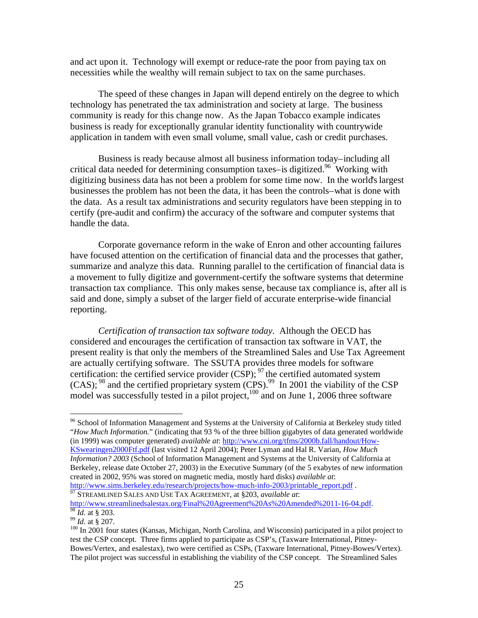and act upon it. Technology will exempt or reduce-rate the poor from paying tax on necessities while the wealthy will remain subject to tax on the same purchases.

The speed of these changes in Japan will depend entirely on the degree to which technology has penetrated the tax administration and society at large. The business community is ready for this change now. As the Japan Tobacco example indicates business is ready for exceptionally granular identity functionality with countrywide application in tandem with even small volume, small value, cash or credit purchases.

Business is ready because almost all business information today – including all critical data needed for determining consumption taxes– is digitized.<sup>96</sup> Working with digitizing business data has not been a problem for some time now. In the world's largest businesses the problem has not been the data, it has been the controls – what is done with the data. As a result tax administrations and security regulators have been stepping in to certify (pre-audit and confirm) the accuracy of the software and computer systems that handle the data.

Corporate governance reform in the wake of Enron and other accounting failures have focused attention on the certification of financial data and the processes that gather, summarize and analyze this data. Running parallel to the certification of financial data is a movement to fully digitize and government-certify the software systems that determine transaction tax compliance. This only makes sense, because tax compliance is, after all is said and done, simply a subset of the larger field of accurate enterprise-wide financial reporting.

*Certification of transaction tax software today*. Although the OECD has considered and encourages the certification of transaction tax software in VAT, the present reality is that only the members of the Streamlined Sales and Use Tax Agreement are actually certifying software. The SSUTA provides three models for software certification: the certified service provider  $(CSP)$ ;  $^{97}$  the certified automated system  $(CAS)$ ; <sup>98</sup> and the certified proprietary system  $(CPS)$ .<sup>99</sup> In 2001 the viability of the CSP model was successfully tested in a pilot project,  $100$  and on June 1, 2006 three software

created in 2002, 95% was stored on magnetic media, mostly hard disks) *available at*:

1

<sup>&</sup>lt;sup>96</sup> School of Information Management and Systems at the University of California at Berkeley study titled "*How Much Information.*" (indicating that 93 % of the three billion gigabytes of data generated worldwide (in 1999) was computer generated) *available at*: http://www.cni.org/tfms/2000b.fall/handout/How-KSwearingen2000Ftf.pdf (last visited 12 April 2004); Peter Lyman and Hal R. Varian, *How Much Information? 2003* (School of Information Management and Systems at the University of California at Berkeley, release date October 27, 2003) in the Executive Summary (of the 5 exabytes of new information

 $\frac{67}{97}$  STREAMLINED SALES AND USE TAX AGREEMENT, at §203, *available at*:<br>http://www.streamlinedsalestax.org/Final%20Agreement%20As%20Amended%2011-16-04.pdf.

<sup>&</sup>lt;sup>98</sup> *Id.* at § 203.<br><sup>99</sup> *Id.* at § 207.<br><sup>100</sup> In 2001 four states (Kansas, Michigan, North Carolina, and Wisconsin) participated in a pilot project to

test the CSP concept. Three firms applied to participate as CSP's, (Taxware International, Pitney-Bowes/Vertex, and esalestax), two were certified as CSPs, (Taxware International, Pitney-Bowes/Vertex). The pilot project was successful in establishing the viability of the CSP concept. The Streamlined Sales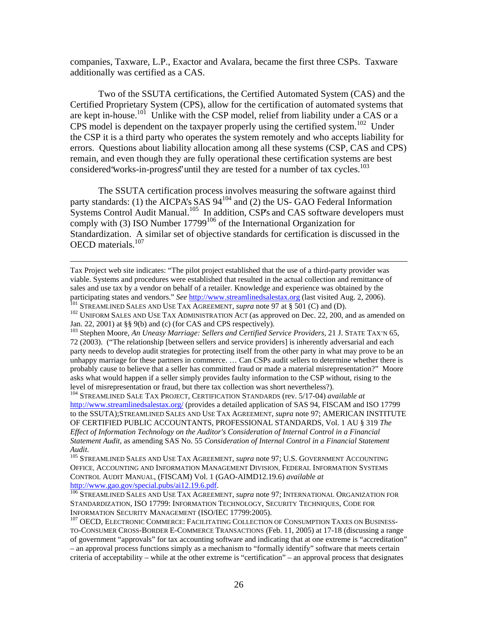companies, Taxware, L.P., Exactor and Avalara, became the first three CSPs. Taxware additionally was certified as a CAS.

Two of the SSUTA certifications, the Certified Automated System (CAS) and the Certified Proprietary System (CPS), allow for the certification of automated systems that are kept in-house.<sup>101</sup> Unlike with the CSP model, relief from liability under a CAS or a CPS model is dependent on the taxpayer properly using the certified system.<sup>102</sup> Under the CSP it is a third party who operates the system remotely and who accepts liability for errors. Questions about liability allocation among all these systems (CSP, CAS and CPS) remain, and even though they are fully operational these certification systems are best considered "works-in-progress" until they are tested for a number of tax cycles.<sup>103</sup>

The SSUTA certification process involves measuring the software against third party standards: (1) the AICPA's SAS  $94^{104}$  and (2) the US-GAO Federal Information Systems Control Audit Manual.<sup>105</sup> In addition, CSP's and CAS software developers must comply with (3) ISO Number  $17799^{106}$  of the International Organization for Standardization. A similar set of objective standards for certification is discussed in the OECD materials.<sup>107</sup>

Tax Project web site indicates: "The pilot project established that the use of a third-party provider was viable. Systems and procedures were established that resulted in the actual collection and remittance of sales and use tax by a vendor on behalf of a retailer. Knowledge and experience was obtained by the participating states and vendors." See <u>http://www.streamlinedsalestax.org</u> (last visited Aug. 2, 2006).<br><sup>101</sup> STREAMLINED SALES AND USE TAX AGREEMENT, *supra* note 97 at § 501 (C) and (D).<br><sup>102</sup> UNIFORM SALES AND USE TAX

Jan. 22, 2001) at §§ 9(b) and (c) (for CAS and CPS respectively).

<sup>103</sup> Stephen Moore, *An Uneasy Marriage: Sellers and Certified Service Providers*, 21 J. STATE TAX'N 65, 72 (2003). ("The relationship [between sellers and service providers] is inherently adversarial and each party needs to develop audit strategies for protecting itself from the other party in what may prove to be an unhappy marriage for these partners in commerce. … Can CSPs audit sellers to determine whether there is probably cause to believe that a seller has committed fraud or made a material misrepresentation?" Moore asks what would happen if a seller simply provides faulty information to the CSP without, rising to the level of misrepresentation or fraud, but there tax collection was short nevertheless?).

<sup>104</sup> STREAMLINED SALE TAX PROJECT, CERTIFICATION STANDARDS (rev. 5/17-04) *available at* http://www.streamlinedsalestax.org/ (provides a detailed application of SAS 94, FISCAM and ISO 17799 to the SSUTA);STREAMLINED SALES AND USE TAX AGREEMENT, *supra* note 97; AMERICAN INSTITUTE OF CERTIFIED PUBLIC ACCOUNTANTS, PROFESSIONAL STANDARDS, Vol. 1 AU § 319 *The Effect of Information Technology on the Auditor's Consideration of Internal Control in a Financial Statement Audit*, as amending SAS No. 55 *Consideration of Internal Control in a Financial Statement Audit*. 105 STREAMLINED SALES AND USE TAX AGREEMENT, *supra* note 97; U.S. GOVERNMENT ACCOUNTING

OFFICE, ACCOUNTING AND INFORMATION MANAGEMENT DIVISION, FEDERAL INFORMATION SYSTEMS CONTROL AUDIT MANUAL, (FISCAM) Vol. 1 (GAO-AIMD12.19.6) *available at*

<sup>106</sup> STREAMLINED SALES AND USE TAX AGREEMENT, *supra* note 97; INTERNATIONAL ORGANIZATION FOR STANDARDIZATION, ISO 17799: INFORMATION TECHNOLOGY, SECURITY TECHNIQUES, CODE FOR INFORMATION SECURITY MANAGEMENT (ISO/IEC 17799:2005).<br><sup>107</sup> OECD, ELECTRONIC COMMERCE: FACILITATING COLLECTION OF CONSUMPTION TAXES ON BUSINESS-

TO-CONSUMER CROSS-BORDER E-COMMERCE TRANSACTIONS (Feb. 11, 2005) at 17-18 (discussing a range of government "approvals" for tax accounting software and indicating that at one extreme is "accreditation" – an approval process functions simply as a mechanism to "formally identify" software that meets certain criteria of acceptability – while at the other extreme is "certification" – an approval process that designates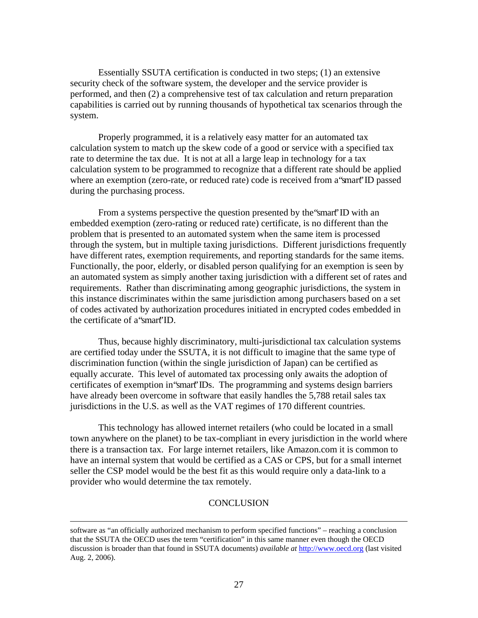Essentially SSUTA certification is conducted in two steps; (1) an extensive security check of the software system, the developer and the service provider is performed, and then (2) a comprehensive test of tax calculation and return preparation capabilities is carried out by running thousands of hypothetical tax scenarios through the system.

Properly programmed, it is a relatively easy matter for an automated tax calculation system to match up the skew code of a good or service with a specified tax rate to determine the tax due. It is not at all a large leap in technology for a tax calculation system to be programmed to recognize that a different rate should be applied where an exemption (zero-rate, or reduced rate) code is received from a "smart" ID passed during the purchasing process.

From a systems perspective the question presented by the "smart" ID with an embedded exemption (zero-rating or reduced rate) certificate, is no different than the problem that is presented to an automated system when the same item is processed through the system, but in multiple taxing jurisdictions. Different jurisdictions frequently have different rates, exemption requirements, and reporting standards for the same items. Functionally, the poor, elderly, or disabled person qualifying for an exemption is seen by an automated system as simply another taxing jurisdiction with a different set of rates and requirements. Rather than discriminating among geographic jurisdictions, the system in this instance discriminates within the same jurisdiction among purchasers based on a set of codes activated by authorization procedures initiated in encrypted codes embedded in the certificate of a "smart" ID.

Thus, because highly discriminatory, multi-jurisdictional tax calculation systems are certified today under the SSUTA, it is not difficult to imagine that the same type of discrimination function (within the single jurisdiction of Japan) can be certified as equally accurate. This level of automated tax processing only awaits the adoption of certificates of exemption in "smart" IDs. The programming and systems design barriers have already been overcome in software that easily handles the 5,788 retail sales tax jurisdictions in the U.S. as well as the VAT regimes of 170 different countries.

This technology has allowed internet retailers (who could be located in a small town anywhere on the planet) to be tax-compliant in every jurisdiction in the world where there is a transaction tax. For large internet retailers, like Amazon.com it is common to have an internal system that would be certified as a CAS or CPS, but for a small internet seller the CSP model would be the best fit as this would require only a data-link to a provider who would determine the tax remotely.

#### **CONCLUSION**

software as "an officially authorized mechanism to perform specified functions" – reaching a conclusion that the SSUTA the OECD uses the term "certification" in this same manner even though the OECD discussion is broader than that found in SSUTA documents) *available at* http://www.oecd.org (last visited Aug. 2, 2006).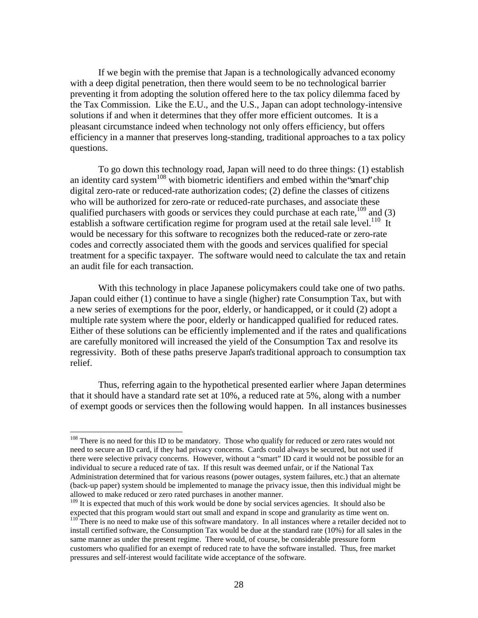If we begin with the premise that Japan is a technologically advanced economy with a deep digital penetration, then there would seem to be no technological barrier preventing it from adopting the solution offered here to the tax policy dilemma faced by the Tax Commission. Like the E.U., and the U.S., Japan can adopt technology-intensive solutions if and when it determines that they offer more efficient outcomes. It is a pleasant circumstance indeed when technology not only offers efficiency, but offers efficiency in a manner that preserves long-standing, traditional approaches to a tax policy questions.

To go down this technology road, Japan will need to do three things: (1) establish an identity card system $108$  with biometric identifiers and embed within the "smart" chip digital zero-rate or reduced-rate authorization codes; (2) define the classes of citizens who will be authorized for zero-rate or reduced-rate purchases, and associate these qualified purchasers with goods or services they could purchase at each rate,  $109$  and (3) establish a software certification regime for program used at the retail sale level.<sup>110</sup> It would be necessary for this software to recognizes both the reduced-rate or zero-rate codes and correctly associated them with the goods and services qualified for special treatment for a specific taxpayer. The software would need to calculate the tax and retain an audit file for each transaction.

With this technology in place Japanese policymakers could take one of two paths. Japan could either (1) continue to have a single (higher) rate Consumption Tax, but with a new series of exemptions for the poor, elderly, or handicapped, or it could (2) adopt a multiple rate system where the poor, elderly or handicapped qualified for reduced rates. Either of these solutions can be efficiently implemented and if the rates and qualifications are carefully monitored will increased the yield of the Consumption Tax and resolve its regressivity. Both of these paths preserve Japan's traditional approach to consumption tax relief.

Thus, referring again to the hypothetical presented earlier where Japan determines that it should have a standard rate set at 10%, a reduced rate at 5%, along with a number of exempt goods or services then the following would happen. In all instances businesses

1

<sup>&</sup>lt;sup>108</sup> There is no need for this ID to be mandatory. Those who qualify for reduced or zero rates would not need to secure an ID card, if they had privacy concerns. Cards could always be secured, but not used if there were selective privacy concerns. However, without a "smart" ID card it would not be possible for an individual to secure a reduced rate of tax. If this result was deemed unfair, or if the National Tax Administration determined that for various reasons (power outages, system failures, etc.) that an alternate (back-up paper) system should be implemented to manage the privacy issue, then this individual might be allowed to make reduced or zero rated purchases in another manner.

<sup>&</sup>lt;sup>109</sup> It is expected that much of this work would be done by social services agencies. It should also be expected that this program would start out small and expand in scope and granularity as time went on. <sup>110</sup> There is no need to make use of this software mandatory. In all instances where a retailer decided not to install certified software, the Consumption Tax would be due at the standard rate (10%) for all sales in the same manner as under the present regime. There would, of course, be considerable pressure form customers who qualified for an exempt of reduced rate to have the software installed. Thus, free market pressures and self-interest would facilitate wide acceptance of the software.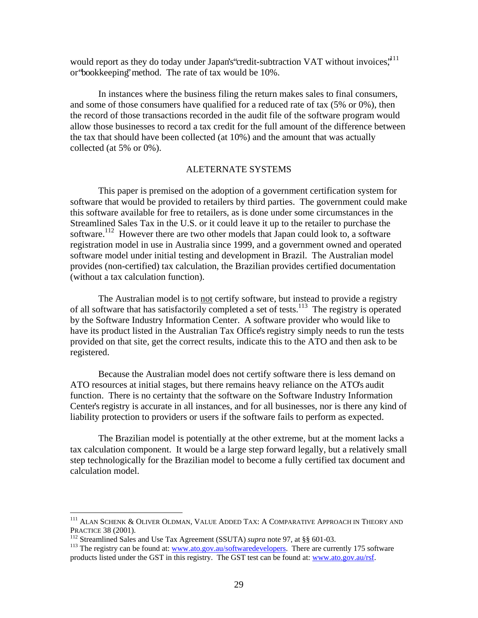would report as they do today under Japan's "credit-subtraction VAT without invoices,"<sup>111</sup> or "bookkeeping" method. The rate of tax would be 10%.

In instances where the business filing the return makes sales to final consumers, and some of those consumers have qualified for a reduced rate of tax (5% or 0%), then the record of those transactions recorded in the audit file of the software program would allow those businesses to record a tax credit for the full amount of the difference between the tax that should have been collected (at 10%) and the amount that was actually collected (at 5% or 0%).

#### ALETERNATE SYSTEMS

 This paper is premised on the adoption of a government certification system for software that would be provided to retailers by third parties. The government could make this software available for free to retailers, as is done under some circumstances in the Streamlined Sales Tax in the U.S. or it could leave it up to the retailer to purchase the software.<sup>112</sup> However there are two other models that Japan could look to, a software registration model in use in Australia since 1999, and a government owned and operated software model under initial testing and development in Brazil. The Australian model provides (non-certified) tax calculation, the Brazilian provides certified documentation (without a tax calculation function).

The Australian model is to not certify software, but instead to provide a registry of all software that has satisfactorily completed a set of tests.<sup>113</sup> The registry is operated by the Software Industry Information Center. A software provider who would like to have its product listed in the Australian Tax Office's registry simply needs to run the tests provided on that site, get the correct results, indicate this to the ATO and then ask to be registered.

 Because the Australian model does not certify software there is less demand on ATO resources at initial stages, but there remains heavy reliance on the ATO's audit function. There is no certainty that the software on the Software Industry Information Center's registry is accurate in all instances, and for all businesses, nor is there any kind of liability protection to providers or users if the software fails to perform as expected.

 The Brazilian model is potentially at the other extreme, but at the moment lacks a tax calculation component. It would be a large step forward legally, but a relatively small step technologically for the Brazilian model to become a fully certified tax document and calculation model.

 $^{111}$  ALAN SCHENK  $\&$  Oliver Oldman, Value Added Tax: A Comparative Approach in Theory and PRACTICE 38 (2001).<br><sup>112</sup> Streamlined Sales and Use Tax Agreement (SSUTA) *supra* note 97, at §§ 601-03.<br><sup>113</sup> The registry can be found at: <u>www.ato.gov.au/softwaredevelopers</u>. There are currently 175 software

products listed under the GST in this registry. The GST test can be found at: www.ato.gov.au/rsf.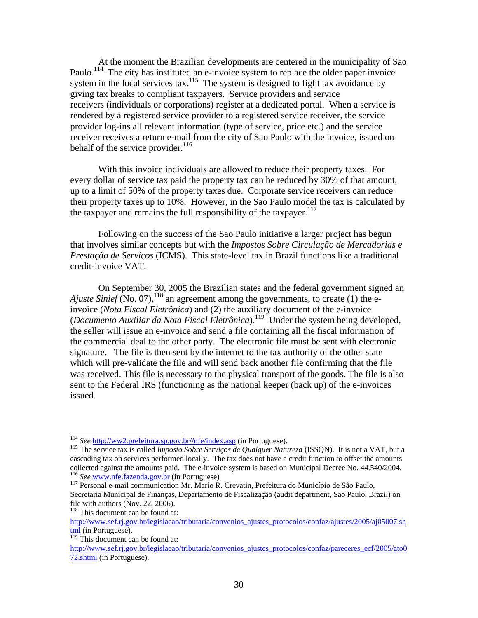At the moment the Brazilian developments are centered in the municipality of Sao Paulo.<sup>114</sup> The city has instituted an e-invoice system to replace the older paper invoice system in the local services  $\text{tax}.^{115}$  The system is designed to fight tax avoidance by giving tax breaks to compliant taxpayers. Service providers and service receivers (individuals or corporations) register at a dedicated portal. When a service is rendered by a registered service provider to a registered service receiver, the service provider log-ins all relevant information (type of service, price etc.) and the service receiver receives a return e-mail from the city of Sao Paulo with the invoice, issued on behalf of the service provider.<sup>116</sup>

 With this invoice individuals are allowed to reduce their property taxes. For every dollar of service tax paid the property tax can be reduced by 30% of that amount, up to a limit of 50% of the property taxes due. Corporate service receivers can reduce their property taxes up to 10%. However, in the Sao Paulo model the tax is calculated by the taxpayer and remains the full responsibility of the taxpayer.<sup>117</sup>

 Following on the success of the Sao Paulo initiative a larger project has begun that involves similar concepts but with the *Impostos Sobre Circulação de Mercadorias e Prestação de Serviços* (ICMS). This state-level tax in Brazil functions like a traditional credit-invoice VAT.

 On September 30, 2005 the Brazilian states and the federal government signed an *Ajuste Sinief* (No. 07),  $^{118}$  an agreement among the governments, to create (1) the einvoice (*Nota Fiscal Eletrônica*) and (2) the auxiliary document of the e-invoice (*Documento Auxiliar da Nota Fiscal Eletrônica*).119 Under the system being developed, the seller will issue an e-invoice and send a file containing all the fiscal information of the commercial deal to the other party. The electronic file must be sent with electronic signature. The file is then sent by the internet to the tax authority of the other state which will pre-validate the file and will send back another file confirming that the file was received. This file is necessary to the physical transport of the goods. The file is also sent to the Federal IRS (functioning as the national keeper (back up) of the e-invoices issued.

<sup>&</sup>lt;sup>114</sup> See http://ww2.prefeitu<u>ra.sp.gov.br//nfe/index.asp</u> (in Portuguese).

<sup>&</sup>lt;sup>115</sup> The service tax is called *Imposto Sobre Serviços de Qualquer Natureza* (ISSQN). It is not a VAT, but a cascading tax on services performed locally. The tax does not have a credit function to offset the amounts collected against the amounts paid. The e-invoice system is based on Municipal Decree No. 44.540/2004.<br><sup>116</sup> See www.nfe.fazenda.gov.br (in Portuguese)

<sup>&</sup>lt;sup>117</sup> Personal e-mail communication Mr. Mario R. Crevatin, Prefeitura do Município de São Paulo, Secretaria Municipal de Finanças, Departamento de Fiscalização (audit department, Sao Paulo, Brazil) on file with authors (Nov. 22, 2006).

<sup>&</sup>lt;sup>118</sup> This document can be found at:

http://www.sef.rj.gov.br/legislacao/tributaria/convenios\_ajustes\_protocolos/confaz/ajustes/2005/aj05007.sh tml (in Portuguese).

 $\frac{119}{119}$  This document can be found at:

http://www.sef.rj.gov.br/legislacao/tributaria/convenios\_ajustes\_protocolos/confaz/pareceres\_ecf/2005/ato0 72.shtml (in Portuguese).